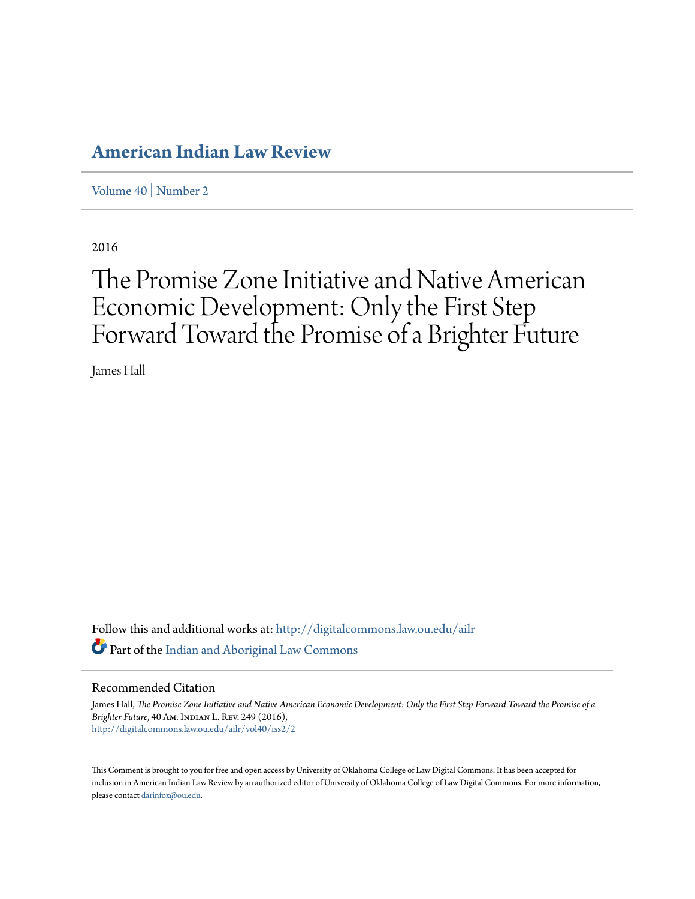## **[American Indian Law Review](http://digitalcommons.law.ou.edu/ailr?utm_source=digitalcommons.law.ou.edu%2Failr%2Fvol40%2Fiss2%2F2&utm_medium=PDF&utm_campaign=PDFCoverPages)**

[Volume 40](http://digitalcommons.law.ou.edu/ailr/vol40?utm_source=digitalcommons.law.ou.edu%2Failr%2Fvol40%2Fiss2%2F2&utm_medium=PDF&utm_campaign=PDFCoverPages) | [Number 2](http://digitalcommons.law.ou.edu/ailr/vol40/iss2?utm_source=digitalcommons.law.ou.edu%2Failr%2Fvol40%2Fiss2%2F2&utm_medium=PDF&utm_campaign=PDFCoverPages)

2016

# The Promise Zone Initiative and Native American Economic Development: Only the First Step Forward Toward the Promise of a Brighter Future

James Hall

Follow this and additional works at: [http://digitalcommons.law.ou.edu/ailr](http://digitalcommons.law.ou.edu/ailr?utm_source=digitalcommons.law.ou.edu%2Failr%2Fvol40%2Fiss2%2F2&utm_medium=PDF&utm_campaign=PDFCoverPages) Part of the [Indian and Aboriginal Law Commons](http://network.bepress.com/hgg/discipline/894?utm_source=digitalcommons.law.ou.edu%2Failr%2Fvol40%2Fiss2%2F2&utm_medium=PDF&utm_campaign=PDFCoverPages)

## Recommended Citation

James Hall, *The Promise Zone Initiative and Native American Economic Development: Only the First Step Forward Toward the Promise of a Brighter Future*, 40 Am. Indian L. Rev. 249 (2016), [http://digitalcommons.law.ou.edu/ailr/vol40/iss2/2](http://digitalcommons.law.ou.edu/ailr/vol40/iss2/2?utm_source=digitalcommons.law.ou.edu%2Failr%2Fvol40%2Fiss2%2F2&utm_medium=PDF&utm_campaign=PDFCoverPages)

This Comment is brought to you for free and open access by University of Oklahoma College of Law Digital Commons. It has been accepted for inclusion in American Indian Law Review by an authorized editor of University of Oklahoma College of Law Digital Commons. For more information, please contact [darinfox@ou.edu.](mailto:darinfox@ou.edu)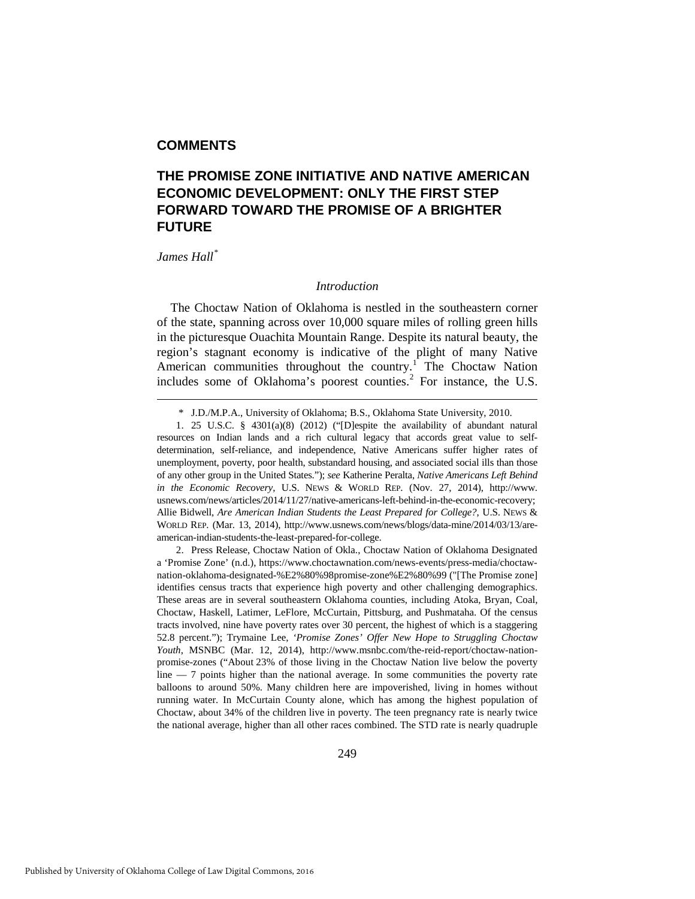## **COMMENTS**

## **THE PROMISE ZONE INITIATIVE AND NATIVE AMERICAN ECONOMIC DEVELOPMENT: ONLY THE FIRST STEP FORWARD TOWARD THE PROMISE OF A BRIGHTER FUTURE**

## *James Hall[\\*](#page-1-0)*

-

## *Introduction*

The Choctaw Nation of Oklahoma is nestled in the southeastern corner of the state, spanning across over 10,000 square miles of rolling green hills in the picturesque Ouachita Mountain Range. Despite its natural beauty, the region's stagnant economy is indicative of the plight of many Native American communities throughout the country.<sup>[1](#page-1-1)</sup> The Choctaw Nation includes some of Oklahoma's poorest counties. $<sup>2</sup>$  $<sup>2</sup>$  $<sup>2</sup>$  For instance, the U.S.</sup>

 <sup>\*</sup> J.D./M.P.A., University of Oklahoma; B.S., Oklahoma State University, 2010.

<span id="page-1-1"></span><span id="page-1-0"></span> <sup>1. 25</sup> U.S.C. § 4301(a)(8) (2012) ("[D]espite the availability of abundant natural resources on Indian lands and a rich cultural legacy that accords great value to selfdetermination, self-reliance, and independence, Native Americans suffer higher rates of unemployment, poverty, poor health, substandard housing, and associated social ills than those of any other group in the United States."); *see* Katherine Peralta, *Native Americans Left Behind in the Economic Recovery*, U.S. NEWS & WORLD REP. (Nov. 27, 2014), http://www. usnews.com/news/articles/2014/11/27/native-americans-left-behind-in-the-economic-recovery; Allie Bidwell, *Are American Indian Students the Least Prepared for College?*, U.S. NEWS & WORLD REP. (Mar. 13, 2014), http://www.usnews.com/news/blogs/data-mine/2014/03/13/areamerican-indian-students-the-least-prepared-for-college.

<span id="page-1-2"></span> <sup>2.</sup> Press Release, Choctaw Nation of Okla., Choctaw Nation of Oklahoma Designated a 'Promise Zone' (n.d.), https://www.choctawnation.com/news-events/press-media/choctawnation-oklahoma-designated-%E2%80%98promise-zone%E2%80%99 ("[The Promise zone] identifies census tracts that experience high poverty and other challenging demographics. These areas are in several southeastern Oklahoma counties, including Atoka, Bryan, Coal, Choctaw, Haskell, Latimer, LeFlore, McCurtain, Pittsburg, and Pushmataha. Of the census tracts involved, nine have poverty rates over 30 percent, the highest of which is a staggering 52.8 percent."); Trymaine Lee, *'Promise Zones' Offer New Hope to Struggling Choctaw Youth*, MSNBC (Mar. 12, 2014), http://www.msnbc.com/the-reid-report/choctaw-nationpromise-zones ("About 23% of those living in the Choctaw Nation live below the poverty line — 7 points higher than the national average. In some communities the poverty rate balloons to around 50%. Many children here are impoverished, living in homes without running water. In McCurtain County alone, which has among the highest population of Choctaw, about 34% of the children live in poverty. The teen pregnancy rate is nearly twice the national average, higher than all other races combined. The STD rate is nearly quadruple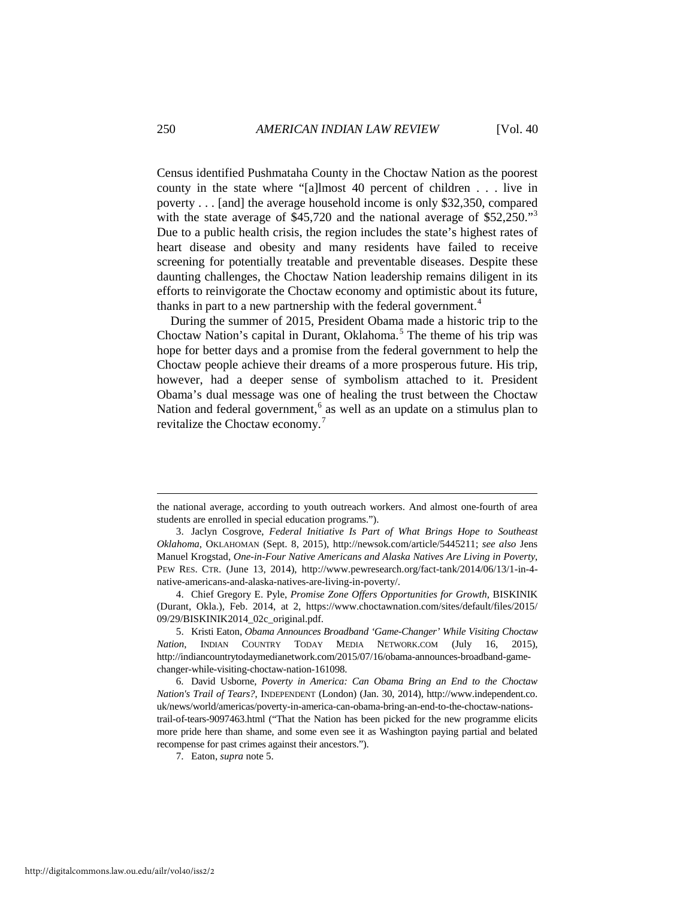Census identified Pushmataha County in the Choctaw Nation as the poorest county in the state where "[a]lmost 40 percent of children . . . live in poverty . . . [and] the average household income is only \$32,350, compared with the state average of \$45,720 and the national average of \$52,250.<sup>[3](#page-2-0)3</sup> Due to a public health crisis, the region includes the state's highest rates of heart disease and obesity and many residents have failed to receive screening for potentially treatable and preventable diseases. Despite these daunting challenges, the Choctaw Nation leadership remains diligent in its efforts to reinvigorate the Choctaw economy and optimistic about its future, thanks in part to a new partnership with the federal government.<sup>[4](#page-2-1)</sup>

During the summer of 2015, President Obama made a historic trip to the Choctaw Nation's capital in Durant, Oklahoma.<sup>[5](#page-2-2)</sup> The theme of his trip was hope for better days and a promise from the federal government to help the Choctaw people achieve their dreams of a more prosperous future. His trip, however, had a deeper sense of symbolism attached to it. President Obama's dual message was one of healing the trust between the Choctaw Nation and federal government, $6$  as well as an update on a stimulus plan to revitalize the Choctaw economy.[7](#page-2-4)

the national average, according to youth outreach workers. And almost one-fourth of area students are enrolled in special education programs.").

<span id="page-2-0"></span> <sup>3.</sup> Jaclyn Cosgrove, *Federal Initiative Is Part of What Brings Hope to Southeast Oklahoma*, OKLAHOMAN (Sept. 8, 2015), http://newsok.com/article/5445211; *see also* Jens Manuel Krogstad, *One-in-Four Native Americans and Alaska Natives Are Living in Poverty*, PEW RES. CTR. (June 13, 2014), http://www.pewresearch.org/fact-tank/2014/06/13/1-in-4 native-americans-and-alaska-natives-are-living-in-poverty/.

<span id="page-2-1"></span> <sup>4.</sup> Chief Gregory E. Pyle, *Promise Zone Offers Opportunities for Growth*, BISKINIK (Durant, Okla.), Feb. 2014, at 2, https://www.choctawnation.com/sites/default/files/2015/ 09/29/BISKINIK2014\_02c\_original.pdf.

<span id="page-2-2"></span> <sup>5.</sup> Kristi Eaton, *Obama Announces Broadband 'Game-Changer' While Visiting Choctaw Nation*, INDIAN COUNTRY TODAY MEDIA NETWORK.COM (July 16, 2015), http://indiancountrytodaymedianetwork.com/2015/07/16/obama-announces-broadband-gamechanger-while-visiting-choctaw-nation-161098.

<span id="page-2-4"></span><span id="page-2-3"></span> <sup>6.</sup> David Usborne, *Poverty in America: Can Obama Bring an End to the Choctaw Nation's Trail of Tears?*, INDEPENDENT (London) (Jan. 30, 2014), http://www.independent.co. uk/news/world/americas/poverty-in-america-can-obama-bring-an-end-to-the-choctaw-nationstrail-of-tears-9097463.html ("That the Nation has been picked for the new programme elicits more pride here than shame, and some even see it as Washington paying partial and belated recompense for past crimes against their ancestors.").

 <sup>7.</sup> Eaton, *supra* note 5.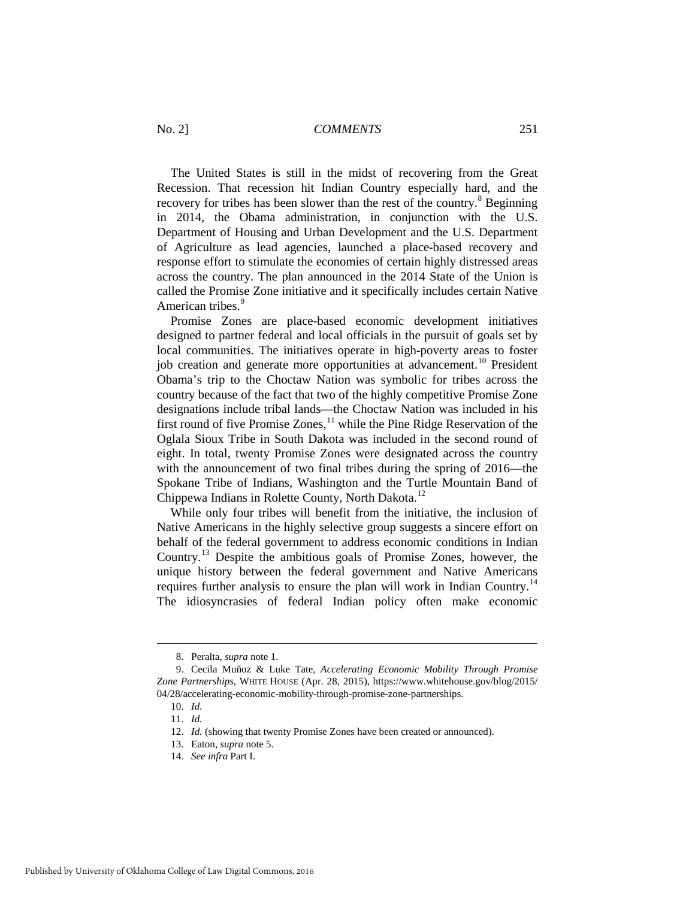The United States is still in the midst of recovering from the Great Recession. That recession hit Indian Country especially hard, and the recovery for tribes has been slower than the rest of the country.<sup>[8](#page-3-0)</sup> Beginning in 2014, the Obama administration, in conjunction with the U.S. Department of Housing and Urban Development and the U.S. Department of Agriculture as lead agencies, launched a place-based recovery and response effort to stimulate the economies of certain highly distressed areas across the country. The plan announced in the 2014 State of the Union is called the Promise Zone initiative and it specifically includes certain Native American tribes.<sup>[9](#page-3-1)</sup>

Promise Zones are place-based economic development initiatives designed to partner federal and local officials in the pursuit of goals set by local communities. The initiatives operate in high-poverty areas to foster job creation and generate more opportunities at advancement.<sup>[10](#page-3-2)</sup> President Obama's trip to the Choctaw Nation was symbolic for tribes across the country because of the fact that two of the highly competitive Promise Zone designations include tribal lands—the Choctaw Nation was included in his first round of five Promise Zones,<sup>[11](#page-3-3)</sup> while the Pine Ridge Reservation of the Oglala Sioux Tribe in South Dakota was included in the second round of eight. In total, twenty Promise Zones were designated across the country with the announcement of two final tribes during the spring of 2016—the Spokane Tribe of Indians, Washington and the Turtle Mountain Band of Chippewa Indians in Rolette County, North Dakota.<sup>12</sup>

While only four tribes will benefit from the initiative, the inclusion of Native Americans in the highly selective group suggests a sincere effort on behalf of the federal government to address economic conditions in Indian Country.[13](#page-3-5) Despite the ambitious goals of Promise Zones, however, the unique history between the federal government and Native Americans requires further analysis to ensure the plan will work in Indian Country.<sup>[14](#page-3-6)</sup> The idiosyncrasies of federal Indian policy often make economic

10. *Id.*

 <sup>8.</sup> Peralta, *supra* note 1.

<span id="page-3-4"></span><span id="page-3-3"></span><span id="page-3-2"></span><span id="page-3-1"></span><span id="page-3-0"></span> <sup>9.</sup> Cecila Muñoz & Luke Tate, *Accelerating Economic Mobility Through Promise Zone Partnerships*, WHITE HOUSE (Apr. 28, 2015), https://www.whitehouse.gov/blog/2015/ 04/28/accelerating-economic-mobility-through-promise-zone-partnerships.

<sup>11.</sup> *Id.*

<sup>12.</sup> *Id.* (showing that twenty Promise Zones have been created or announced).

<span id="page-3-5"></span><sup>13.</sup> Eaton, *supra* note 5.

<span id="page-3-6"></span><sup>14.</sup> *See infra* Part I.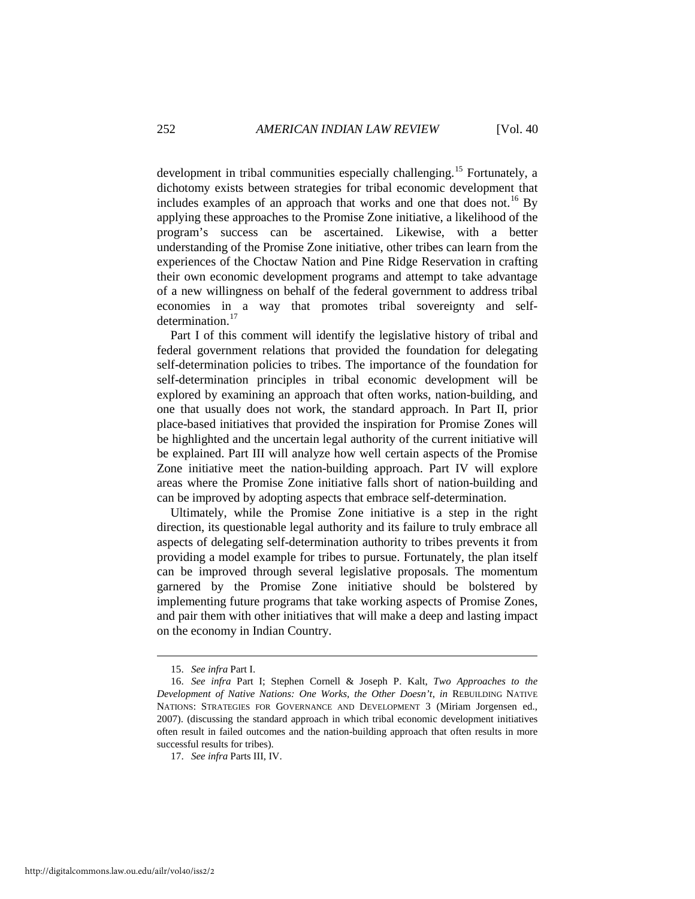development in tribal communities especially challenging.<sup>[15](#page-4-0)</sup> Fortunately, a dichotomy exists between strategies for tribal economic development that includes examples of an approach that works and one that does not.<sup>[16](#page-4-1)</sup> By applying these approaches to the Promise Zone initiative, a likelihood of the program's success can be ascertained. Likewise, with a better understanding of the Promise Zone initiative, other tribes can learn from the experiences of the Choctaw Nation and Pine Ridge Reservation in crafting their own economic development programs and attempt to take advantage of a new willingness on behalf of the federal government to address tribal economies in a way that promotes tribal sovereignty and selfdetermination.<sup>17</sup>

Part I of this comment will identify the legislative history of tribal and federal government relations that provided the foundation for delegating self-determination policies to tribes. The importance of the foundation for self-determination principles in tribal economic development will be explored by examining an approach that often works, nation-building, and one that usually does not work, the standard approach. In Part II, prior place-based initiatives that provided the inspiration for Promise Zones will be highlighted and the uncertain legal authority of the current initiative will be explained. Part III will analyze how well certain aspects of the Promise Zone initiative meet the nation-building approach. Part IV will explore areas where the Promise Zone initiative falls short of nation-building and can be improved by adopting aspects that embrace self-determination.

Ultimately, while the Promise Zone initiative is a step in the right direction, its questionable legal authority and its failure to truly embrace all aspects of delegating self-determination authority to tribes prevents it from providing a model example for tribes to pursue. Fortunately, the plan itself can be improved through several legislative proposals. The momentum garnered by the Promise Zone initiative should be bolstered by implementing future programs that take working aspects of Promise Zones, and pair them with other initiatives that will make a deep and lasting impact on the economy in Indian Country.

 <sup>15.</sup> *See infra* Part I.

<span id="page-4-1"></span><span id="page-4-0"></span><sup>16.</sup> *See infra* Part I; Stephen Cornell & Joseph P. Kalt, *Two Approaches to the Development of Native Nations: One Works, the Other Doesn't*, *in* REBUILDING NATIVE NATIONS: STRATEGIES FOR GOVERNANCE AND DEVELOPMENT 3 (Miriam Jorgensen ed., 2007). (discussing the standard approach in which tribal economic development initiatives often result in failed outcomes and the nation-building approach that often results in more successful results for tribes).

<span id="page-4-2"></span><sup>17.</sup> *See infra* Parts III, IV.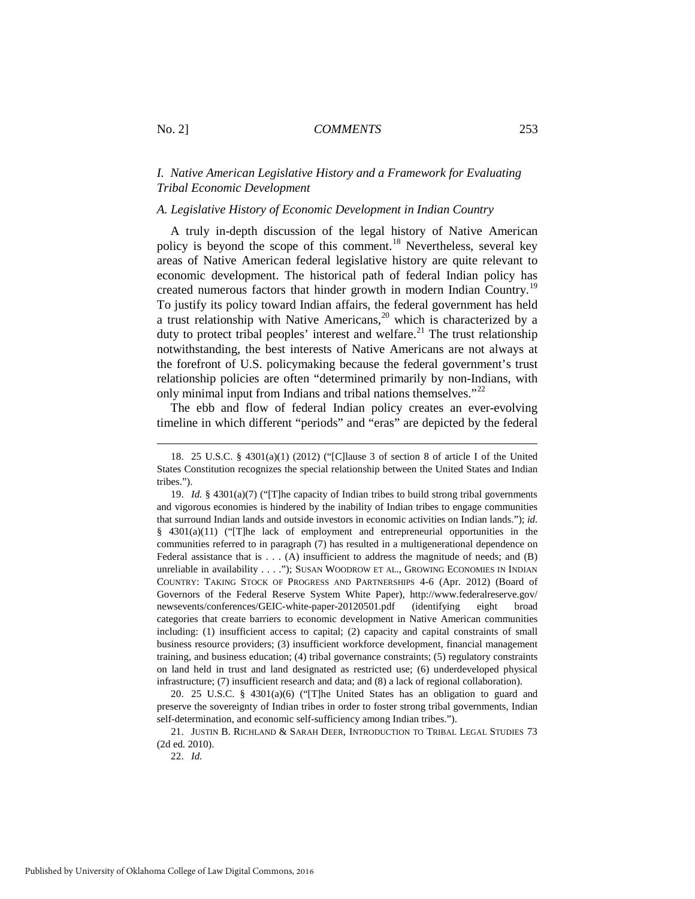## *I. Native American Legislative History and a Framework for Evaluating Tribal Economic Development*

## *A. Legislative History of Economic Development in Indian Country*

A truly in-depth discussion of the legal history of Native American policy is beyond the scope of this comment.[18](#page-5-0) Nevertheless, several key areas of Native American federal legislative history are quite relevant to economic development. The historical path of federal Indian policy has created numerous factors that hinder growth in modern Indian Country.<sup>[19](#page-5-1)</sup> To justify its policy toward Indian affairs, the federal government has held a trust relationship with Native Americans, $2<sup>0</sup>$  which is characterized by a duty to protect tribal peoples' interest and welfare.<sup>[21](#page-5-3)</sup> The trust relationship notwithstanding, the best interests of Native Americans are not always at the forefront of U.S. policymaking because the federal government's trust relationship policies are often "determined primarily by non-Indians, with only minimal input from Indians and tribal nations themselves."<sup>22</sup>

The ebb and flow of federal Indian policy creates an ever-evolving timeline in which different "periods" and "eras" are depicted by the federal

<span id="page-5-0"></span> <sup>18. 25</sup> U.S.C. § 4301(a)(1) (2012) ("[C]lause 3 of section 8 of article I of the United States Constitution recognizes the special relationship between the United States and Indian tribes.").

<span id="page-5-1"></span><sup>19.</sup> *Id.* § 4301(a)(7) ("[T]he capacity of Indian tribes to build strong tribal governments and vigorous economies is hindered by the inability of Indian tribes to engage communities that surround Indian lands and outside investors in economic activities on Indian lands."); *id*. § 4301(a)(11) ("[T]he lack of employment and entrepreneurial opportunities in the communities referred to in paragraph (7) has resulted in a multigenerational dependence on Federal assistance that is  $\dots$  (A) insufficient to address the magnitude of needs; and (B) unreliable in availability . . . ."); SUSAN WOODROW ET AL., GROWING ECONOMIES IN INDIAN COUNTRY: TAKING STOCK OF PROGRESS AND PARTNERSHIPS 4-6 (Apr. 2012) (Board of Governors of the Federal Reserve System White Paper), http://www.federalreserve.gov/ newsevents/conferences/GEIC-white-paper-20120501.pdf (identifying eight broad categories that create barriers to economic development in Native American communities including: (1) insufficient access to capital; (2) capacity and capital constraints of small business resource providers; (3) insufficient workforce development, financial management training, and business education; (4) tribal governance constraints; (5) regulatory constraints on land held in trust and land designated as restricted use; (6) underdeveloped physical infrastructure; (7) insufficient research and data; and (8) a lack of regional collaboration).

<span id="page-5-2"></span><sup>20. 25</sup> U.S.C. § 4301(a)(6) ("[T]he United States has an obligation to guard and preserve the sovereignty of Indian tribes in order to foster strong tribal governments, Indian self-determination, and economic self-sufficiency among Indian tribes.").

<span id="page-5-4"></span><span id="page-5-3"></span><sup>21.</sup> JUSTIN B. RICHLAND & SARAH DEER, INTRODUCTION TO TRIBAL LEGAL STUDIES 73 (2d ed. 2010).

<sup>22.</sup> *Id.*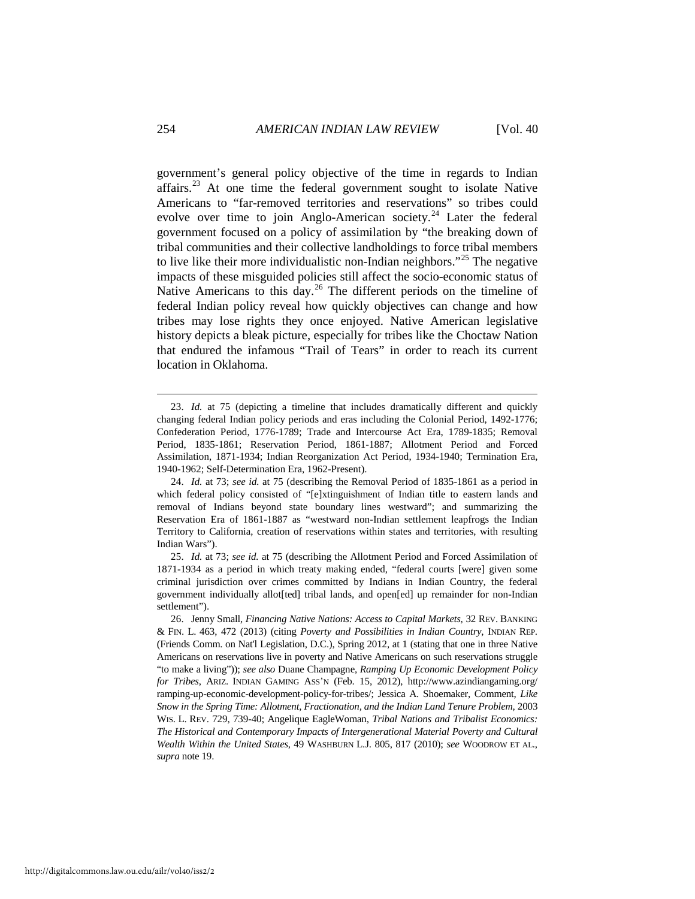government's general policy objective of the time in regards to Indian affairs.<sup>[23](#page-6-0)</sup> At one time the federal government sought to isolate Native Americans to "far-removed territories and reservations" so tribes could evolve over time to join Anglo-American society.<sup>[24](#page-6-1)</sup> Later the federal government focused on a policy of assimilation by "the breaking down of tribal communities and their collective landholdings to force tribal members to live like their more individualistic non-Indian neighbors."<sup>[25](#page-6-2)</sup> The negative impacts of these misguided policies still affect the socio-economic status of Native Americans to this day.<sup>[26](#page-6-3)</sup> The different periods on the timeline of federal Indian policy reveal how quickly objectives can change and how tribes may lose rights they once enjoyed. Native American legislative history depicts a bleak picture, especially for tribes like the Choctaw Nation that endured the infamous "Trail of Tears" in order to reach its current location in Oklahoma.

<span id="page-6-0"></span> <sup>23.</sup> *Id.* at 75 (depicting a timeline that includes dramatically different and quickly changing federal Indian policy periods and eras including the Colonial Period, 1492-1776; Confederation Period, 1776-1789; Trade and Intercourse Act Era, 1789-1835; Removal Period, 1835-1861; Reservation Period, 1861-1887; Allotment Period and Forced Assimilation, 1871-1934; Indian Reorganization Act Period, 1934-1940; Termination Era, 1940-1962; Self-Determination Era, 1962-Present).

<span id="page-6-1"></span><sup>24.</sup> *Id.* at 73; *see id.* at 75 (describing the Removal Period of 1835-1861 as a period in which federal policy consisted of "[e]xtinguishment of Indian title to eastern lands and removal of Indians beyond state boundary lines westward"; and summarizing the Reservation Era of 1861-1887 as "westward non-Indian settlement leapfrogs the Indian Territory to California, creation of reservations within states and territories, with resulting Indian Wars").

<span id="page-6-2"></span><sup>25.</sup> *Id.* at 73; *see id.* at 75 (describing the Allotment Period and Forced Assimilation of 1871-1934 as a period in which treaty making ended, "federal courts [were] given some criminal jurisdiction over crimes committed by Indians in Indian Country, the federal government individually allot[ted] tribal lands, and open[ed] up remainder for non-Indian settlement").

<span id="page-6-3"></span><sup>26.</sup> Jenny Small, *Financing Native Nations: Access to Capital Markets*, 32 REV. BANKING & FIN. L. 463, 472 (2013) (citing *Poverty and Possibilities in Indian Country*, INDIAN REP. (Friends Comm. on Nat'l Legislation, D.C.), Spring 2012, at 1 (stating that one in three Native Americans on reservations live in poverty and Native Americans on such reservations struggle "to make a living")); *see also* Duane Champagne, *Ramping Up Economic Development Policy for Tribes*, ARIZ. INDIAN GAMING ASS'N (Feb. 15, 2012), http://www.azindiangaming.org/ ramping-up-economic-development-policy-for-tribes/; Jessica A. Shoemaker, Comment, *Like Snow in the Spring Time: Allotment*, *Fractionation, and the Indian Land Tenure Problem*, 2003 WIS. L. REV. 729, 739-40; Angelique EagleWoman, *Tribal Nations and Tribalist Economics: The Historical and Contemporary Impacts of Intergenerational Material Poverty and Cultural Wealth Within the United States*, 49 WASHBURN L.J. 805, 817 (2010); *see* WOODROW ET AL., *supra* note 19.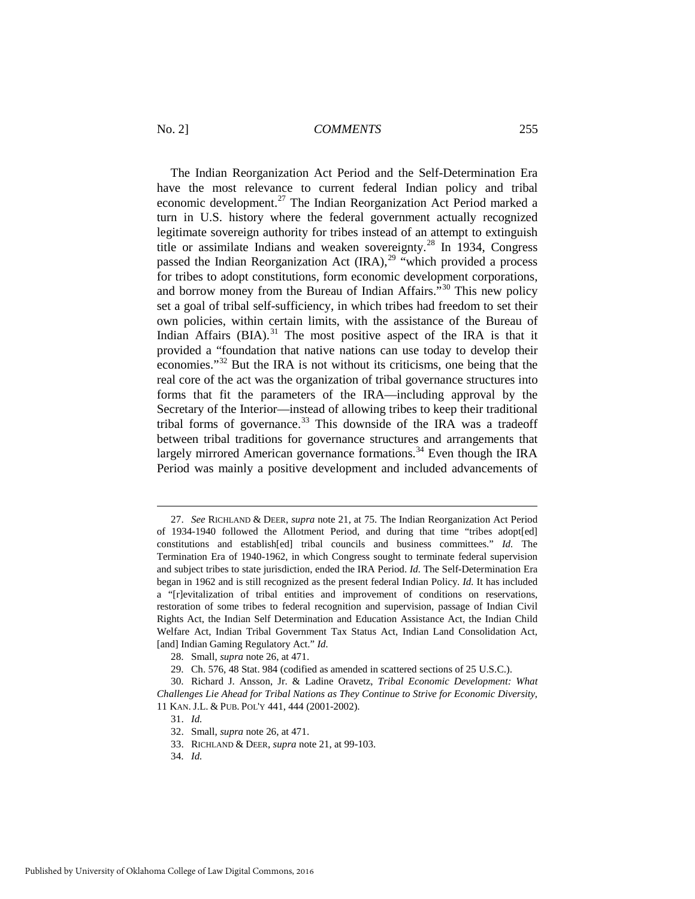The Indian Reorganization Act Period and the Self-Determination Era have the most relevance to current federal Indian policy and tribal economic development.<sup>[27](#page-7-0)</sup> The Indian Reorganization Act Period marked a turn in U.S. history where the federal government actually recognized legitimate sovereign authority for tribes instead of an attempt to extinguish title or assimilate Indians and weaken sovereignty.[28](#page-7-1) In 1934, Congress passed the Indian Reorganization Act  $\left( \text{IRA} \right)^{29}$  $\left( \text{IRA} \right)^{29}$  $\left( \text{IRA} \right)^{29}$  "which provided a process" for tribes to adopt constitutions, form economic development corporations, and borrow money from the Bureau of Indian Affairs."[30](#page-7-3) This new policy set a goal of tribal self-sufficiency, in which tribes had freedom to set their own policies, within certain limits, with the assistance of the Bureau of Indian Affairs  $(BIA).$ <sup>[31](#page-7-4)</sup> The most positive aspect of the IRA is that it provided a "foundation that native nations can use today to develop their economies."[32](#page-7-5) But the IRA is not without its criticisms, one being that the real core of the act was the organization of tribal governance structures into forms that fit the parameters of the IRA—including approval by the Secretary of the Interior—instead of allowing tribes to keep their traditional tribal forms of governance.<sup>[33](#page-7-6)</sup> This downside of the IRA was a tradeoff between tribal traditions for governance structures and arrangements that largely mirrored American governance formations.<sup>[34](#page-7-7)</sup> Even though the IRA Period was mainly a positive development and included advancements of

<span id="page-7-0"></span> <sup>27.</sup> *See* RICHLAND & DEER, *supra* note 21, at 75. The Indian Reorganization Act Period of 1934-1940 followed the Allotment Period, and during that time "tribes adopt[ed] constitutions and establish[ed] tribal councils and business committees." *Id.* The Termination Era of 1940-1962, in which Congress sought to terminate federal supervision and subject tribes to state jurisdiction, ended the IRA Period. *Id.* The Self-Determination Era began in 1962 and is still recognized as the present federal Indian Policy. *Id.* It has included a "[r]evitalization of tribal entities and improvement of conditions on reservations, restoration of some tribes to federal recognition and supervision, passage of Indian Civil Rights Act, the Indian Self Determination and Education Assistance Act, the Indian Child Welfare Act, Indian Tribal Government Tax Status Act, Indian Land Consolidation Act, [and] Indian Gaming Regulatory Act." *Id.*

<sup>28.</sup> Small, *supra* note 26, at 471.

<sup>29.</sup> Ch. 576, 48 Stat. 984 (codified as amended in scattered sections of 25 U.S.C.).

<span id="page-7-5"></span><span id="page-7-4"></span><span id="page-7-3"></span><span id="page-7-2"></span><span id="page-7-1"></span><sup>30.</sup> Richard J. Ansson, Jr. & Ladine Oravetz, *Tribal Economic Development: What Challenges Lie Ahead for Tribal Nations as They Continue to Strive for Economic Diversity*, 11 KAN. J.L. & PUB. POL'Y 441, 444 (2001-2002).

<sup>31.</sup> *Id.*

<sup>32.</sup> Small, *supra* note 26, at 471.

<sup>33.</sup> RICHLAND & DEER, *supra* note 21, at 99-103.

<span id="page-7-7"></span><span id="page-7-6"></span><sup>34.</sup> *Id.*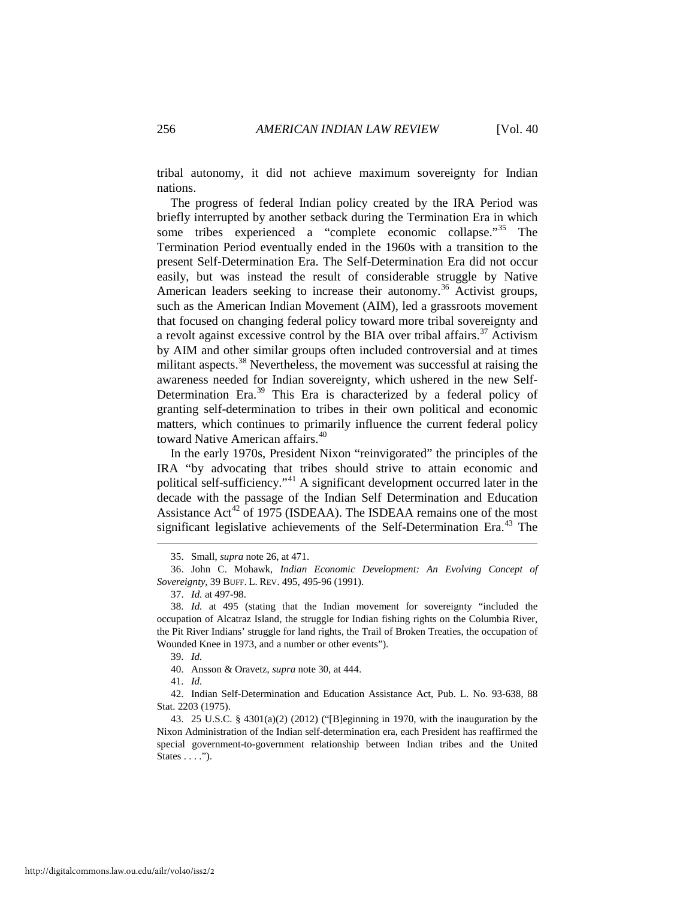tribal autonomy, it did not achieve maximum sovereignty for Indian nations.

The progress of federal Indian policy created by the IRA Period was briefly interrupted by another setback during the Termination Era in which some tribes experienced a "complete economic collapse."<sup>[35](#page-8-0)</sup> The Termination Period eventually ended in the 1960s with a transition to the present Self-Determination Era. The Self-Determination Era did not occur easily, but was instead the result of considerable struggle by Native American leaders seeking to increase their autonomy.<sup>[36](#page-8-1)</sup> Activist groups, such as the American Indian Movement (AIM), led a grassroots movement that focused on changing federal policy toward more tribal sovereignty and a revolt against excessive control by the BIA over tribal affairs.<sup>[37](#page-8-2)</sup> Activism by AIM and other similar groups often included controversial and at times militant aspects.<sup>[38](#page-8-3)</sup> Nevertheless, the movement was successful at raising the awareness needed for Indian sovereignty, which ushered in the new Self-Determination Era.<sup>[39](#page-8-4)</sup> This Era is characterized by a federal policy of granting self-determination to tribes in their own political and economic matters, which continues to primarily influence the current federal policy toward Native American affairs.<sup>[40](#page-8-5)</sup>

In the early 1970s, President Nixon "reinvigorated" the principles of the IRA "by advocating that tribes should strive to attain economic and political self-sufficiency."[41](#page-8-6) A significant development occurred later in the decade with the passage of the Indian Self Determination and Education Assistance  $Act^{42}$  $Act^{42}$  $Act^{42}$  of 1975 (ISDEAA). The ISDEAA remains one of the most significant legislative achievements of the Self-Determination Era.<sup>[43](#page-8-8)</sup> The

39. *Id.*

40. Ansson & Oravetz, *supra* note 30, at 444.

41. *Id.*

<span id="page-8-7"></span><span id="page-8-6"></span><span id="page-8-5"></span><span id="page-8-4"></span>42. Indian Self-Determination and Education Assistance Act, Pub. L. No. 93-638, 88 Stat. 2203 (1975).

<span id="page-8-8"></span>43. 25 U.S.C. § 4301(a)(2) (2012) ("[B]eginning in 1970, with the inauguration by the Nixon Administration of the Indian self-determination era, each President has reaffirmed the special government-to-government relationship between Indian tribes and the United States . . . .").

 <sup>35.</sup> Small, *supra* note 26, at 471.

<span id="page-8-1"></span><span id="page-8-0"></span><sup>36.</sup> John C. Mohawk, *Indian Economic Development: An Evolving Concept of Sovereignty*, 39 BUFF. L. REV. 495, 495-96 (1991).

<sup>37.</sup> *Id.* at 497-98.

<span id="page-8-3"></span><span id="page-8-2"></span><sup>38.</sup> *Id.* at 495 (stating that the Indian movement for sovereignty "included the occupation of Alcatraz Island, the struggle for Indian fishing rights on the Columbia River, the Pit River Indians' struggle for land rights, the Trail of Broken Treaties, the occupation of Wounded Knee in 1973, and a number or other events").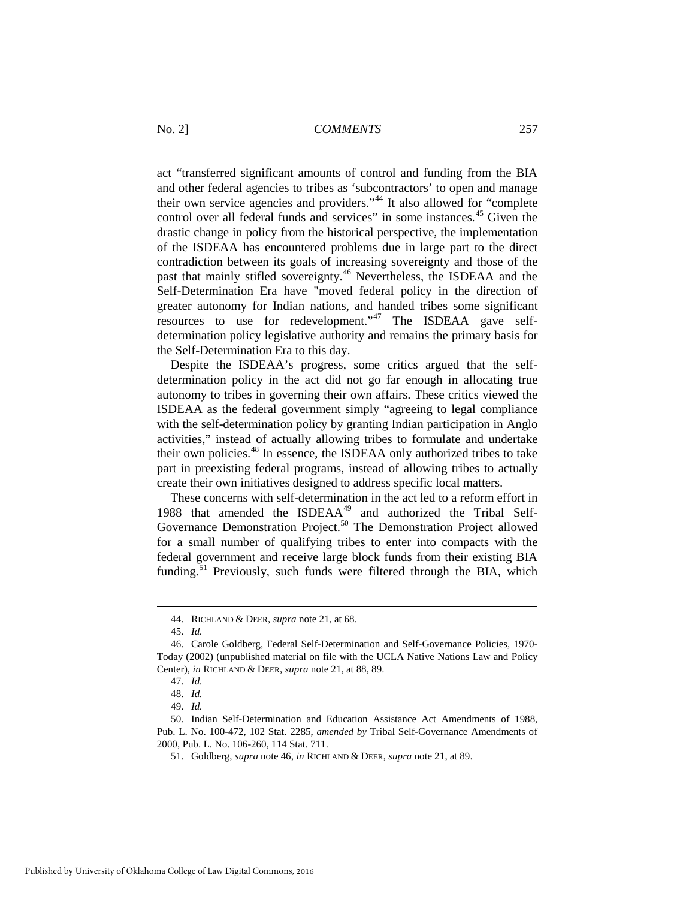act "transferred significant amounts of control and funding from the BIA and other federal agencies to tribes as 'subcontractors' to open and manage their own service agencies and providers."[44](#page-9-0) It also allowed for "complete control over all federal funds and services" in some instances.<sup>[45](#page-9-1)</sup> Given the drastic change in policy from the historical perspective, the implementation of the ISDEAA has encountered problems due in large part to the direct contradiction between its goals of increasing sovereignty and those of the past that mainly stifled sovereignty.<sup>[46](#page-9-2)</sup> Nevertheless, the ISDEAA and the Self-Determination Era have "moved federal policy in the direction of greater autonomy for Indian nations, and handed tribes some significant resources to use for redevelopment." The ISDEAA gave selfdetermination policy legislative authority and remains the primary basis for the Self-Determination Era to this day.

Despite the ISDEAA's progress, some critics argued that the selfdetermination policy in the act did not go far enough in allocating true autonomy to tribes in governing their own affairs. These critics viewed the ISDEAA as the federal government simply "agreeing to legal compliance with the self-determination policy by granting Indian participation in Anglo activities," instead of actually allowing tribes to formulate and undertake their own policies.<sup>[48](#page-9-4)</sup> In essence, the ISDEAA only authorized tribes to take part in preexisting federal programs, instead of allowing tribes to actually create their own initiatives designed to address specific local matters.

These concerns with self-determination in the act led to a reform effort in 1988 that amended the ISDEAA<sup>[49](#page-9-5)</sup> and authorized the Tribal Self-Governance Demonstration Project.<sup>[50](#page-9-6)</sup> The Demonstration Project allowed for a small number of qualifying tribes to enter into compacts with the federal government and receive large block funds from their existing BIA funding. $51$  Previously, such funds were filtered through the BIA, which

 <sup>44.</sup> RICHLAND & DEER, *supra* note 21, at 68.

<sup>45.</sup> *Id.*

<span id="page-9-3"></span><span id="page-9-2"></span><span id="page-9-1"></span><span id="page-9-0"></span><sup>46.</sup> Carole Goldberg, Federal Self-Determination and Self-Governance Policies, 1970- Today (2002) (unpublished material on file with the UCLA Native Nations Law and Policy Center), *in* RICHLAND & DEER, *supra* note 21, at 88, 89.

<sup>47.</sup> *Id.*

<sup>48.</sup> *Id.*

<sup>49.</sup> *Id.*

<span id="page-9-7"></span><span id="page-9-6"></span><span id="page-9-5"></span><span id="page-9-4"></span><sup>50.</sup> Indian Self-Determination and Education Assistance Act Amendments of 1988, Pub. L. No. 100-472, 102 Stat. 2285, *amended by* Tribal Self-Governance Amendments of 2000, Pub. L. No. 106-260, 114 Stat. 711.

<sup>51.</sup> Goldberg, *supra* note 46, *in* RICHLAND & DEER, *supra* note 21, at 89.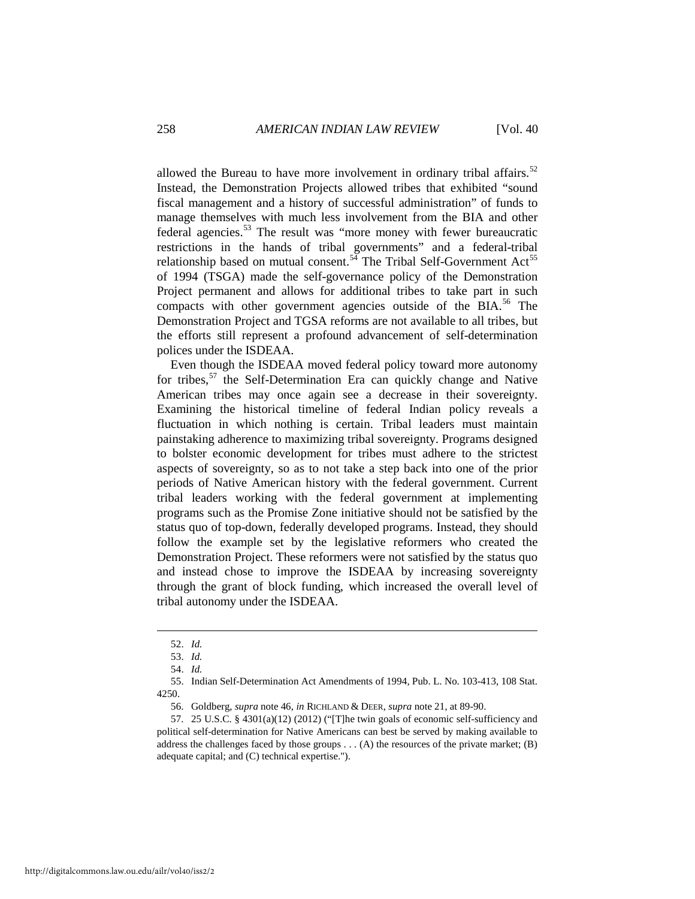allowed the Bureau to have more involvement in ordinary tribal affairs.<sup>[52](#page-10-0)</sup> Instead, the Demonstration Projects allowed tribes that exhibited "sound fiscal management and a history of successful administration" of funds to manage themselves with much less involvement from the BIA and other federal agencies.[53](#page-10-1) The result was "more money with fewer bureaucratic restrictions in the hands of tribal governments" and a federal-tribal relationship based on mutual consent.<sup>[54](#page-10-2)</sup> The Tribal Self-Government Act<sup>[55](#page-10-3)</sup> of 1994 (TSGA) made the self-governance policy of the Demonstration Project permanent and allows for additional tribes to take part in such compacts with other government agencies outside of the BIA.<sup>[56](#page-10-4)</sup> The Demonstration Project and TGSA reforms are not available to all tribes, but the efforts still represent a profound advancement of self-determination polices under the ISDEAA.

Even though the ISDEAA moved federal policy toward more autonomy for tribes,  $57$  the Self-Determination Era can quickly change and Native American tribes may once again see a decrease in their sovereignty. Examining the historical timeline of federal Indian policy reveals a fluctuation in which nothing is certain. Tribal leaders must maintain painstaking adherence to maximizing tribal sovereignty. Programs designed to bolster economic development for tribes must adhere to the strictest aspects of sovereignty, so as to not take a step back into one of the prior periods of Native American history with the federal government. Current tribal leaders working with the federal government at implementing programs such as the Promise Zone initiative should not be satisfied by the status quo of top-down, federally developed programs. Instead, they should follow the example set by the legislative reformers who created the Demonstration Project. These reformers were not satisfied by the status quo and instead chose to improve the ISDEAA by increasing sovereignty through the grant of block funding, which increased the overall level of tribal autonomy under the ISDEAA.

<span id="page-10-3"></span><span id="page-10-2"></span><span id="page-10-1"></span><span id="page-10-0"></span>55. Indian Self-Determination Act Amendments of 1994, Pub. L. No. 103-413, 108 Stat. 4250.

56. Goldberg, *supra* note 46, *in* RICHLAND & DEER, *supra* note 21, at 89-90.

<span id="page-10-5"></span><span id="page-10-4"></span>57. 25 U.S.C. §  $4301(a)(12)$  (2012) ("[T]he twin goals of economic self-sufficiency and political self-determination for Native Americans can best be served by making available to address the challenges faced by those groups . . . (A) the resources of the private market; (B) adequate capital; and (C) technical expertise.").

 <sup>52.</sup> *Id.*

<sup>53.</sup> *Id.*

<sup>54.</sup> *Id.*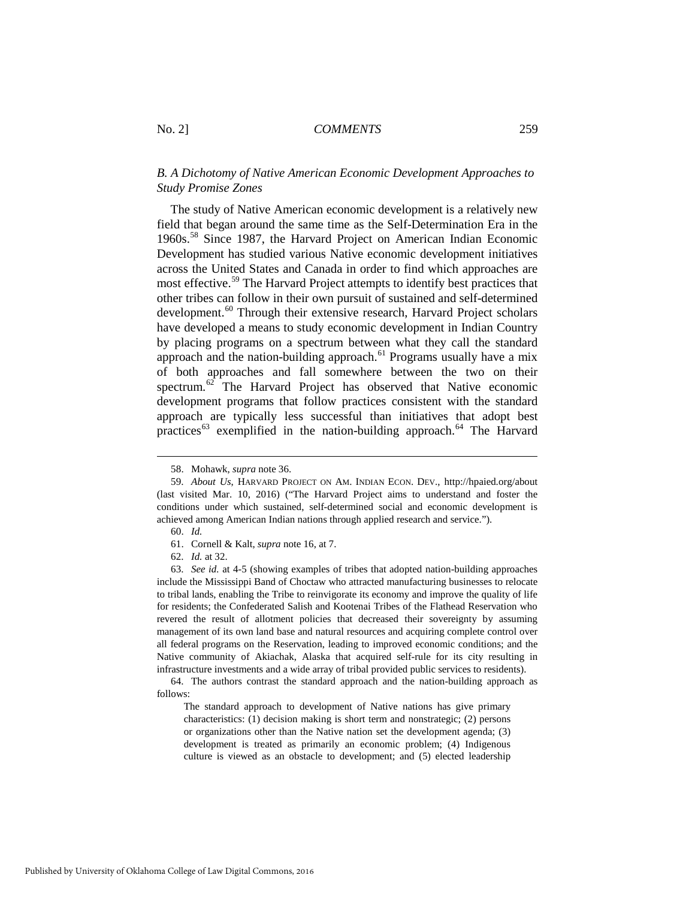## *B. A Dichotomy of Native American Economic Development Approaches to Study Promise Zones*

The study of Native American economic development is a relatively new field that began around the same time as the Self-Determination Era in the 1960s.[58](#page-11-0) Since 1987, the Harvard Project on American Indian Economic Development has studied various Native economic development initiatives across the United States and Canada in order to find which approaches are most effective.[59](#page-11-1) The Harvard Project attempts to identify best practices that other tribes can follow in their own pursuit of sustained and self-determined development.<sup>[60](#page-11-2)</sup> Through their extensive research, Harvard Project scholars have developed a means to study economic development in Indian Country by placing programs on a spectrum between what they call the standard approach and the nation-building approach.<sup>[61](#page-11-3)</sup> Programs usually have a mix of both approaches and fall somewhere between the two on their spectrum.<sup>[62](#page-11-4)</sup> The Harvard Project has observed that Native economic development programs that follow practices consistent with the standard approach are typically less successful than initiatives that adopt best practices<sup>[63](#page-11-5)</sup> exemplified in the nation-building approach.<sup>[64](#page-11-6)</sup> The Harvard

<span id="page-11-5"></span><span id="page-11-4"></span><span id="page-11-3"></span><span id="page-11-2"></span>63. *See id.* at 4-5 (showing examples of tribes that adopted nation-building approaches include the Mississippi Band of Choctaw who attracted manufacturing businesses to relocate to tribal lands, enabling the Tribe to reinvigorate its economy and improve the quality of life for residents; the Confederated Salish and Kootenai Tribes of the Flathead Reservation who revered the result of allotment policies that decreased their sovereignty by assuming management of its own land base and natural resources and acquiring complete control over all federal programs on the Reservation, leading to improved economic conditions; and the Native community of Akiachak, Alaska that acquired self-rule for its city resulting in infrastructure investments and a wide array of tribal provided public services to residents).

The standard approach to development of Native nations has give primary characteristics: (1) decision making is short term and nonstrategic; (2) persons or organizations other than the Native nation set the development agenda; (3) development is treated as primarily an economic problem; (4) Indigenous culture is viewed as an obstacle to development; and (5) elected leadership

 <sup>58.</sup> Mohawk, *supra* note 36.

<span id="page-11-1"></span><span id="page-11-0"></span><sup>59.</sup> *About Us*, HARVARD PROJECT ON AM. INDIAN ECON. DEV., http://hpaied.org/about (last visited Mar. 10, 2016) ("The Harvard Project aims to understand and foster the conditions under which sustained, self-determined social and economic development is achieved among American Indian nations through applied research and service.").

<sup>60.</sup> *Id.*

<sup>61.</sup> Cornell & Kalt, *supra* note 16, at 7.

<sup>62.</sup> *Id.* at 32.

<span id="page-11-6"></span><sup>64.</sup> The authors contrast the standard approach and the nation-building approach as follows: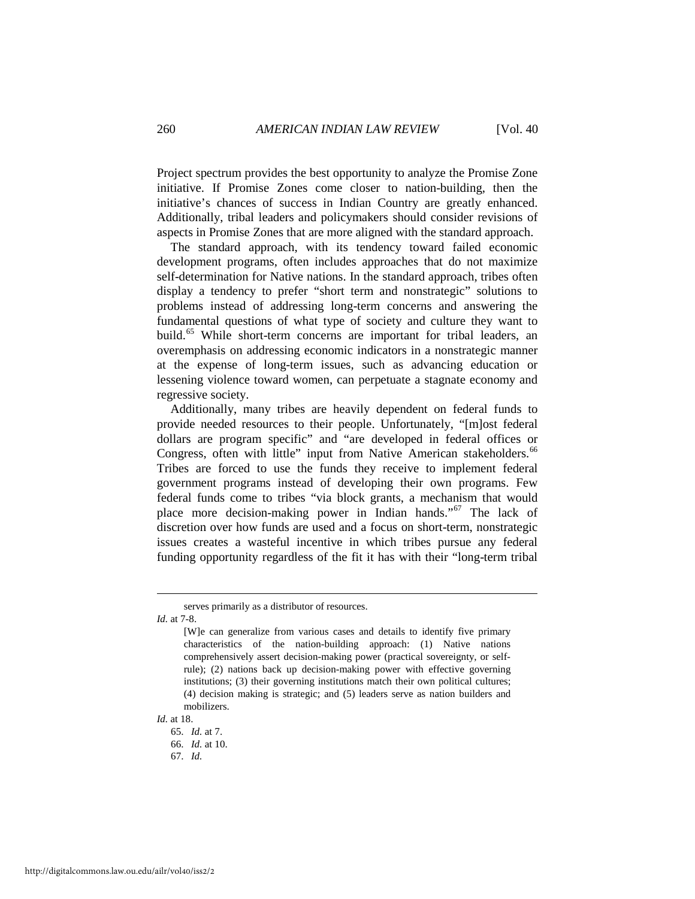Project spectrum provides the best opportunity to analyze the Promise Zone initiative. If Promise Zones come closer to nation-building, then the initiative's chances of success in Indian Country are greatly enhanced. Additionally, tribal leaders and policymakers should consider revisions of aspects in Promise Zones that are more aligned with the standard approach.

The standard approach, with its tendency toward failed economic development programs, often includes approaches that do not maximize self-determination for Native nations. In the standard approach, tribes often display a tendency to prefer "short term and nonstrategic" solutions to problems instead of addressing long-term concerns and answering the fundamental questions of what type of society and culture they want to build.<sup>[65](#page-12-0)</sup> While short-term concerns are important for tribal leaders, an overemphasis on addressing economic indicators in a nonstrategic manner at the expense of long-term issues, such as advancing education or lessening violence toward women, can perpetuate a stagnate economy and regressive society.

Additionally, many tribes are heavily dependent on federal funds to provide needed resources to their people. Unfortunately, "[m]ost federal dollars are program specific" and "are developed in federal offices or Congress, often with little" input from Native American stakeholders.<sup>[66](#page-12-1)</sup> Tribes are forced to use the funds they receive to implement federal government programs instead of developing their own programs. Few federal funds come to tribes "via block grants, a mechanism that would place more decision-making power in Indian hands."[67](#page-12-2) The lack of discretion over how funds are used and a focus on short-term, nonstrategic issues creates a wasteful incentive in which tribes pursue any federal funding opportunity regardless of the fit it has with their "long-term tribal

*Id.* at 7-8.

<span id="page-12-2"></span><span id="page-12-1"></span><span id="page-12-0"></span>*Id.* at 18.

serves primarily as a distributor of resources.

<sup>[</sup>W]e can generalize from various cases and details to identify five primary characteristics of the nation-building approach: (1) Native nations comprehensively assert decision-making power (practical sovereignty, or selfrule); (2) nations back up decision-making power with effective governing institutions; (3) their governing institutions match their own political cultures; (4) decision making is strategic; and (5) leaders serve as nation builders and mobilizers.

<sup>65.</sup> *Id.* at 7.

<sup>66.</sup> *Id.* at 10.

<sup>67.</sup> *Id.*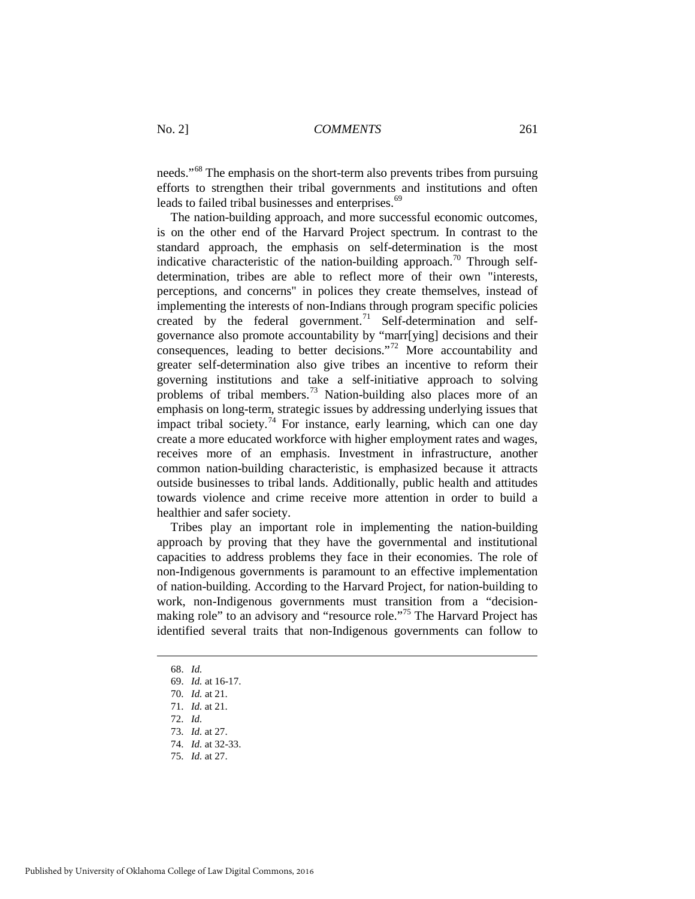needs."<sup>[68](#page-13-0)</sup> The emphasis on the short-term also prevents tribes from pursuing efforts to strengthen their tribal governments and institutions and often leads to failed tribal businesses and enterprises.<sup>[69](#page-13-1)</sup>

The nation-building approach, and more successful economic outcomes, is on the other end of the Harvard Project spectrum. In contrast to the standard approach, the emphasis on self-determination is the most indicative characteristic of the nation-building approach.<sup>[70](#page-13-2)</sup> Through selfdetermination, tribes are able to reflect more of their own "interests, perceptions, and concerns" in polices they create themselves, instead of implementing the interests of non-Indians through program specific policies created by the federal government.<sup>[71](#page-13-3)</sup> Self-determination and selfgovernance also promote accountability by "marr[ying] decisions and their consequences, leading to better decisions."[72](#page-13-4) More accountability and greater self-determination also give tribes an incentive to reform their governing institutions and take a self-initiative approach to solving problems of tribal members.<sup>[73](#page-13-5)</sup> Nation-building also places more of an emphasis on long-term, strategic issues by addressing underlying issues that impact tribal society.<sup>[74](#page-13-6)</sup> For instance, early learning, which can one day create a more educated workforce with higher employment rates and wages, receives more of an emphasis. Investment in infrastructure, another common nation-building characteristic, is emphasized because it attracts outside businesses to tribal lands. Additionally, public health and attitudes towards violence and crime receive more attention in order to build a healthier and safer society.

Tribes play an important role in implementing the nation-building approach by proving that they have the governmental and institutional capacities to address problems they face in their economies. The role of non-Indigenous governments is paramount to an effective implementation of nation-building. According to the Harvard Project, for nation-building to work, non-Indigenous governments must transition from a "decision-making role" to an advisory and "resource role."<sup>[75](#page-13-7)</sup> The Harvard Project has identified several traits that non-Indigenous governments can follow to

- <span id="page-13-7"></span><span id="page-13-6"></span>
- 75. *Id.* at 27.

<span id="page-13-0"></span> <sup>68.</sup> *Id.*

<span id="page-13-1"></span><sup>69.</sup> *Id.* at 16-17.

<sup>70.</sup> *Id.* at 21.

<span id="page-13-4"></span><span id="page-13-3"></span><span id="page-13-2"></span><sup>71.</sup> *Id.* at 21.

<sup>72.</sup> *Id.*

<span id="page-13-5"></span><sup>73.</sup> *Id.* at 27. 74. *Id.* at 32-33.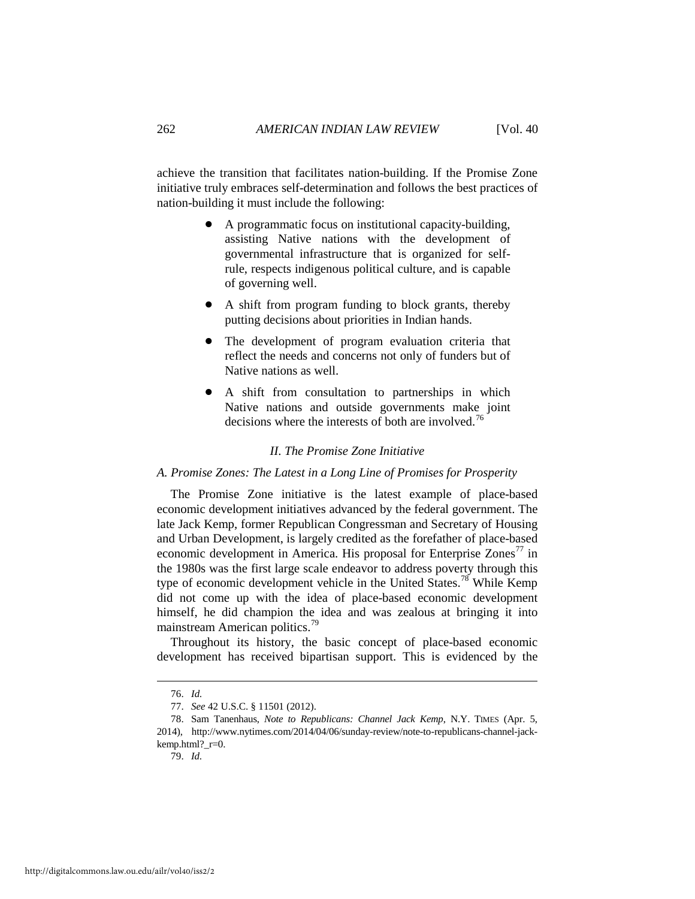achieve the transition that facilitates nation-building. If the Promise Zone initiative truly embraces self-determination and follows the best practices of nation-building it must include the following:

- ! A programmatic focus on institutional capacity-building, assisting Native nations with the development of governmental infrastructure that is organized for selfrule, respects indigenous political culture, and is capable of governing well.
- A shift from program funding to block grants, thereby putting decisions about priorities in Indian hands.
- The development of program evaluation criteria that reflect the needs and concerns not only of funders but of Native nations as well.
- ! A shift from consultation to partnerships in which Native nations and outside governments make joint decisions where the interests of both are involved.<sup>[76](#page-14-0)</sup>

## *II. The Promise Zone Initiative*

## *A. Promise Zones: The Latest in a Long Line of Promises for Prosperity*

The Promise Zone initiative is the latest example of place-based economic development initiatives advanced by the federal government. The late Jack Kemp, former Republican Congressman and Secretary of Housing and Urban Development, is largely credited as the forefather of place-based economic development in America. His proposal for Enterprise  $Zones<sup>77</sup>$  in the 1980s was the first large scale endeavor to address poverty through this type of economic development vehicle in the United States.<sup>[78](#page-14-2)</sup> While Kemp did not come up with the idea of place-based economic development himself, he did champion the idea and was zealous at bringing it into mainstream American politics.[79](#page-14-3)

Throughout its history, the basic concept of place-based economic development has received bipartisan support. This is evidenced by the

 <sup>76.</sup> *Id.*

<sup>77.</sup> *See* 42 U.S.C. § 11501 (2012).

<span id="page-14-3"></span><span id="page-14-2"></span><span id="page-14-1"></span><span id="page-14-0"></span><sup>78.</sup> Sam Tanenhaus, *Note to Republicans: Channel Jack Kemp*, N.Y. TIMES (Apr. 5, 2014), http://www.nytimes.com/2014/04/06/sunday-review/note-to-republicans-channel-jackkemp.html?\_r=0.

<sup>79.</sup> *Id*.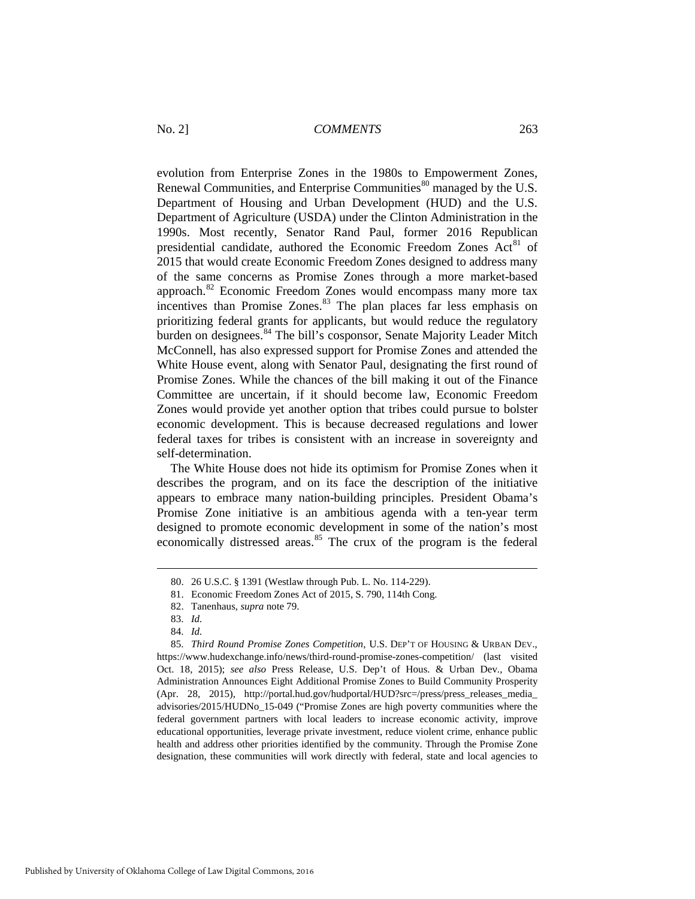evolution from Enterprise Zones in the 1980s to Empowerment Zones, Renewal Communities, and Enterprise Communities<sup>[80](#page-15-0)</sup> managed by the U.S. Department of Housing and Urban Development (HUD) and the U.S. Department of Agriculture (USDA) under the Clinton Administration in the 1990s. Most recently, Senator Rand Paul, former 2016 Republican presidential candidate, authored the Economic Freedom Zones Act<sup>[81](#page-15-1)</sup> of 2015 that would create Economic Freedom Zones designed to address many of the same concerns as Promise Zones through a more market-based approach.[82](#page-15-2) Economic Freedom Zones would encompass many more tax incentives than Promise Zones.<sup>[83](#page-15-3)</sup> The plan places far less emphasis on prioritizing federal grants for applicants, but would reduce the regulatory burden on designees.<sup>[84](#page-15-4)</sup> The bill's cosponsor, Senate Majority Leader Mitch McConnell, has also expressed support for Promise Zones and attended the White House event, along with Senator Paul, designating the first round of Promise Zones. While the chances of the bill making it out of the Finance Committee are uncertain, if it should become law, Economic Freedom Zones would provide yet another option that tribes could pursue to bolster economic development. This is because decreased regulations and lower federal taxes for tribes is consistent with an increase in sovereignty and self-determination.

The White House does not hide its optimism for Promise Zones when it describes the program, and on its face the description of the initiative appears to embrace many nation-building principles. President Obama's Promise Zone initiative is an ambitious agenda with a ten-year term designed to promote economic development in some of the nation's most economically distressed areas. [85](#page-15-5) The crux of the program is the federal

 <sup>80. 26</sup> U.S.C. § 1391 (Westlaw through Pub. L. No. 114-229).

<sup>81.</sup> Economic Freedom Zones Act of 2015, S. 790, 114th Cong.

<sup>82.</sup> Tanenhaus, *supra* note 79.

<sup>83.</sup> *Id.*

<sup>84.</sup> *Id.*

<span id="page-15-5"></span><span id="page-15-4"></span><span id="page-15-3"></span><span id="page-15-2"></span><span id="page-15-1"></span><span id="page-15-0"></span><sup>85.</sup> *Third Round Promise Zones Competition*, U.S. DEP'T OF HOUSING & URBAN DEV., https://www.hudexchange.info/news/third-round-promise-zones-competition/ (last visited Oct. 18, 2015); *see also* Press Release, U.S. Dep't of Hous. & Urban Dev., Obama Administration Announces Eight Additional Promise Zones to Build Community Prosperity (Apr. 28, 2015), http://portal.hud.gov/hudportal/HUD?src=/press/press\_releases\_media\_ advisories/2015/HUDNo\_15-049 ("Promise Zones are high poverty communities where the federal government partners with local leaders to increase economic activity, improve educational opportunities, leverage private investment, reduce violent crime, enhance public health and address other priorities identified by the community. Through the Promise Zone designation, these communities will work directly with federal, state and local agencies to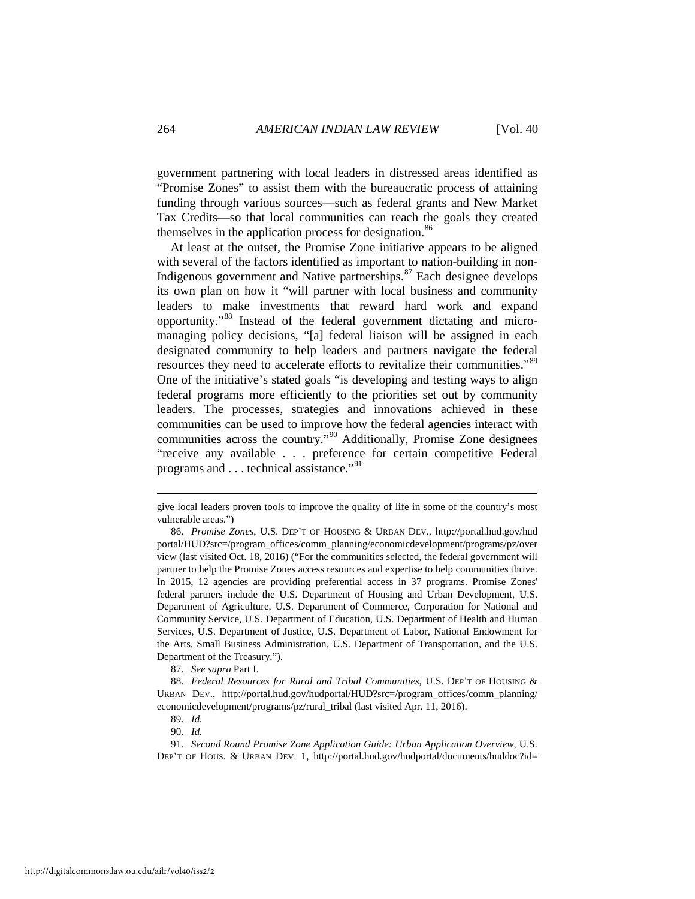government partnering with local leaders in distressed areas identified as "Promise Zones" to assist them with the bureaucratic process of attaining funding through various sources—such as federal grants and New Market Tax Credits—so that local communities can reach the goals they created themselves in the application process for designation.<sup>[86](#page-16-0)</sup>

At least at the outset, the Promise Zone initiative appears to be aligned with several of the factors identified as important to nation-building in non-Indigenous government and Native partnerships.[87](#page-16-1) Each designee develops its own plan on how it "will partner with local business and community leaders to make investments that reward hard work and expand opportunity."[88](#page-16-2) Instead of the federal government dictating and micromanaging policy decisions, "[a] federal liaison will be assigned in each designated community to help leaders and partners navigate the federal resources they need to accelerate efforts to revitalize their communities."[89](#page-16-3) One of the initiative's stated goals "is developing and testing ways to align federal programs more efficiently to the priorities set out by community leaders. The processes, strategies and innovations achieved in these communities can be used to improve how the federal agencies interact with communities across the country."<sup>[90](#page-16-4)</sup> Additionally, Promise Zone designees "receive any available . . . preference for certain competitive Federal programs and . . . technical assistance."[91](#page-16-5)

87. *See supra* Part I.

give local leaders proven tools to improve the quality of life in some of the country's most vulnerable areas.")

<span id="page-16-0"></span><sup>86.</sup> *Promise Zones*, U.S. DEP'T OF HOUSING & URBAN DEV., http://portal.hud.gov/hud portal/HUD?src=/program\_offices/comm\_planning/economicdevelopment/programs/pz/over view (last visited Oct. 18, 2016) ("For the communities selected, the federal government will partner to help the Promise Zones access resources and expertise to help communities thrive. In 2015, 12 agencies are providing preferential access in 37 programs. Promise Zones' federal partners include the U.S. Department of Housing and Urban Development, U.S. Department of Agriculture, U.S. Department of Commerce, Corporation for National and Community Service, U.S. Department of Education, U.S. Department of Health and Human Services, U.S. Department of Justice, U.S. Department of Labor, National Endowment for the Arts, Small Business Administration, U.S. Department of Transportation, and the U.S. Department of the Treasury.").

<span id="page-16-2"></span><span id="page-16-1"></span><sup>88.</sup> *Federal Resources for Rural and Tribal Communities*, U.S. DEP'T OF HOUSING & URBAN DEV., http://portal.hud.gov/hudportal/HUD?src=/program\_offices/comm\_planning/ economicdevelopment/programs/pz/rural\_tribal (last visited Apr. 11, 2016).

<sup>89.</sup> *Id.*

<sup>90.</sup> *Id.*

<span id="page-16-5"></span><span id="page-16-4"></span><span id="page-16-3"></span><sup>91.</sup> *Second Round Promise Zone Application Guide: Urban Application Overview*, U.S. DEP'T OF HOUS. & URBAN DEV. 1, http://portal.hud.gov/hudportal/documents/huddoc?id=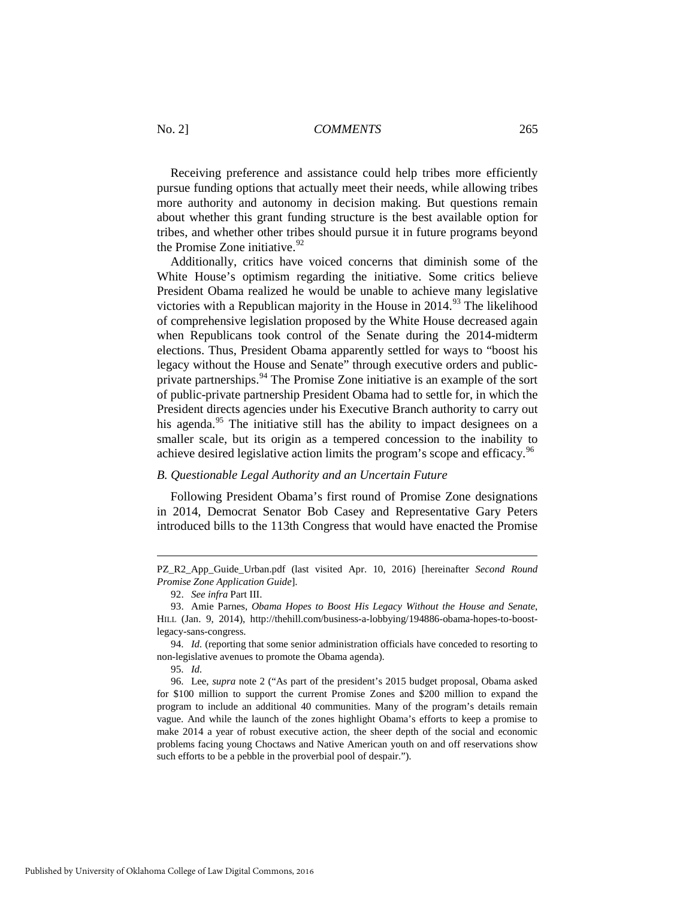Receiving preference and assistance could help tribes more efficiently pursue funding options that actually meet their needs, while allowing tribes more authority and autonomy in decision making. But questions remain about whether this grant funding structure is the best available option for tribes, and whether other tribes should pursue it in future programs beyond the Promise Zone initiative.  $92$ 

Additionally, critics have voiced concerns that diminish some of the White House's optimism regarding the initiative. Some critics believe President Obama realized he would be unable to achieve many legislative victories with a Republican majority in the House in  $2014<sup>93</sup>$  $2014<sup>93</sup>$  $2014<sup>93</sup>$  The likelihood of comprehensive legislation proposed by the White House decreased again when Republicans took control of the Senate during the 2014-midterm elections. Thus, President Obama apparently settled for ways to "boost his legacy without the House and Senate" through executive orders and public-private partnerships.<sup>[94](#page-17-2)</sup> The Promise Zone initiative is an example of the sort of public-private partnership President Obama had to settle for, in which the President directs agencies under his Executive Branch authority to carry out his agenda.<sup>[95](#page-17-3)</sup> The initiative still has the ability to impact designees on a smaller scale, but its origin as a tempered concession to the inability to achieve desired legislative action limits the program's scope and efficacy.<sup>96</sup>

## *B. Questionable Legal Authority and an Uncertain Future*

Following President Obama's first round of Promise Zone designations in 2014, Democrat Senator Bob Casey and Representative Gary Peters introduced bills to the 113th Congress that would have enacted the Promise

PZ\_R2\_App\_Guide\_Urban.pdf (last visited Apr. 10, 2016) [hereinafter *Second Round Promise Zone Application Guide*].

<sup>92.</sup> *See infra* Part III.

<span id="page-17-1"></span><span id="page-17-0"></span><sup>93.</sup> Amie Parnes, *Obama Hopes to Boost His Legacy Without the House and Senate*, HILL (Jan. 9, 2014), http://thehill.com/business-a-lobbying/194886-obama-hopes-to-boostlegacy-sans-congress.

<span id="page-17-2"></span><sup>94.</sup> *Id.* (reporting that some senior administration officials have conceded to resorting to non-legislative avenues to promote the Obama agenda).

<sup>95.</sup> *Id.*

<span id="page-17-4"></span><span id="page-17-3"></span><sup>96.</sup> Lee, *supra* note 2 ("As part of the president's 2015 budget proposal, Obama asked for \$100 million to support the current Promise Zones and \$200 million to expand the program to include an additional 40 communities. Many of the program's details remain vague. And while the launch of the zones highlight Obama's efforts to keep a promise to make 2014 a year of robust executive action, the sheer depth of the social and economic problems facing young Choctaws and Native American youth on and off reservations show such efforts to be a pebble in the proverbial pool of despair.").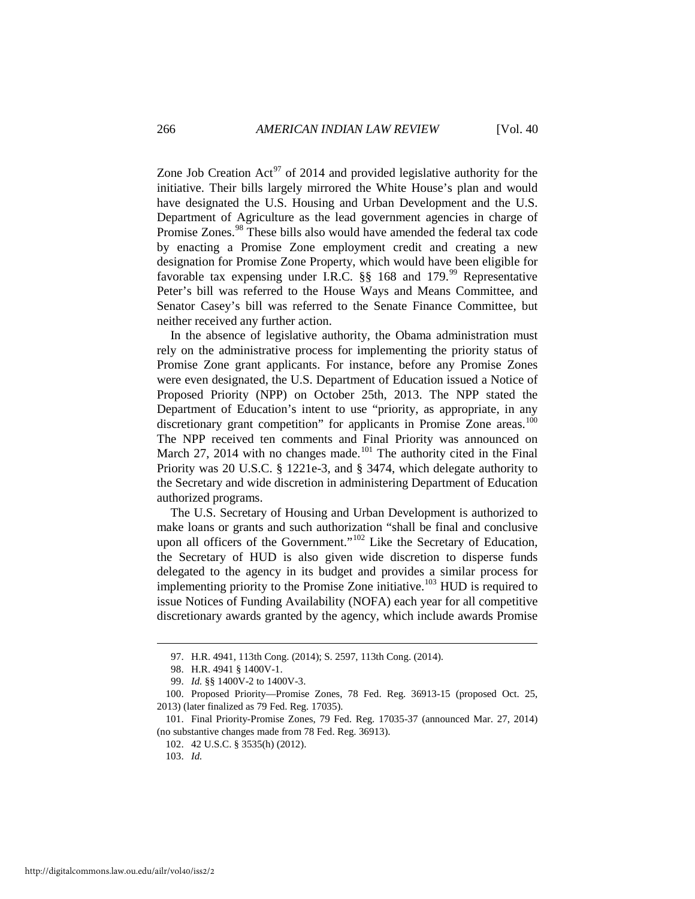Zone Job Creation Act<sup>[97](#page-18-0)</sup> of 2014 and provided legislative authority for the initiative. Their bills largely mirrored the White House's plan and would have designated the U.S. Housing and Urban Development and the U.S. Department of Agriculture as the lead government agencies in charge of Promise Zones.<sup>[98](#page-18-1)</sup> These bills also would have amended the federal tax code by enacting a Promise Zone employment credit and creating a new designation for Promise Zone Property, which would have been eligible for favorable tax expensing under I.R.C.  $\S$ § 168 and 179.<sup>[99](#page-18-2)</sup> Representative Peter's bill was referred to the House Ways and Means Committee, and Senator Casey's bill was referred to the Senate Finance Committee, but neither received any further action.

In the absence of legislative authority, the Obama administration must rely on the administrative process for implementing the priority status of Promise Zone grant applicants. For instance, before any Promise Zones were even designated, the U.S. Department of Education issued a Notice of Proposed Priority (NPP) on October 25th, 2013. The NPP stated the Department of Education's intent to use "priority, as appropriate, in any discretionary grant competition" for applicants in Promise Zone areas.<sup>[100](#page-18-3)</sup> The NPP received ten comments and Final Priority was announced on March 27, 2014 with no changes made.<sup>[101](#page-18-4)</sup> The authority cited in the Final Priority was 20 U.S.C. § 1221e-3, and § 3474, which delegate authority to the Secretary and wide discretion in administering Department of Education authorized programs.

The U.S. Secretary of Housing and Urban Development is authorized to make loans or grants and such authorization "shall be final and conclusive upon all officers of the Government."<sup>[102](#page-18-5)</sup> Like the Secretary of Education, the Secretary of HUD is also given wide discretion to disperse funds delegated to the agency in its budget and provides a similar process for implementing priority to the Promise Zone initiative.<sup>[103](#page-18-6)</sup> HUD is required to issue Notices of Funding Availability (NOFA) each year for all competitive discretionary awards granted by the agency, which include awards Promise

 <sup>97.</sup> H.R. 4941, 113th Cong. (2014); S. 2597, 113th Cong. (2014).

<sup>98.</sup> H.R. 4941 § 1400V-1.

<sup>99.</sup> *Id.* §§ 1400V-2 to 1400V-3.

<span id="page-18-3"></span><span id="page-18-2"></span><span id="page-18-1"></span><span id="page-18-0"></span><sup>100.</sup> Proposed Priority—Promise Zones, 78 Fed. Reg. 36913-15 (proposed Oct. 25, 2013) (later finalized as 79 Fed. Reg. 17035).

<span id="page-18-6"></span><span id="page-18-5"></span><span id="page-18-4"></span><sup>101.</sup> Final Priority-Promise Zones, 79 Fed. Reg. 17035-37 (announced Mar. 27, 2014) (no substantive changes made from 78 Fed. Reg. 36913).

<sup>102. 42</sup> U.S.C. § 3535(h) (2012).

<sup>103.</sup> *Id.*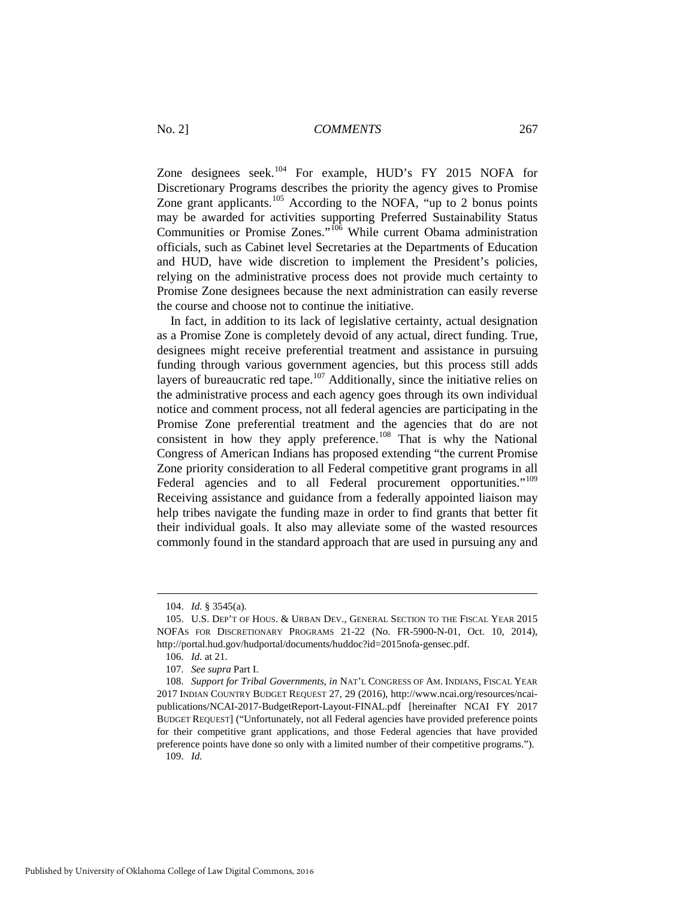Zone designees seek.<sup>[104](#page-19-0)</sup> For example, HUD's FY 2015 NOFA for Discretionary Programs describes the priority the agency gives to Promise Zone grant applicants.<sup>[105](#page-19-1)</sup> According to the NOFA, "up to 2 bonus points" may be awarded for activities supporting Preferred Sustainability Status Communities or Promise Zones."[106](#page-19-2) While current Obama administration officials, such as Cabinet level Secretaries at the Departments of Education and HUD, have wide discretion to implement the President's policies, relying on the administrative process does not provide much certainty to Promise Zone designees because the next administration can easily reverse the course and choose not to continue the initiative.

In fact, in addition to its lack of legislative certainty, actual designation as a Promise Zone is completely devoid of any actual, direct funding. True, designees might receive preferential treatment and assistance in pursuing funding through various government agencies, but this process still adds layers of bureaucratic red tape.<sup>[107](#page-19-3)</sup> Additionally, since the initiative relies on the administrative process and each agency goes through its own individual notice and comment process, not all federal agencies are participating in the Promise Zone preferential treatment and the agencies that do are not consistent in how they apply preference.<sup>[108](#page-19-4)</sup> That is why the National Congress of American Indians has proposed extending "the current Promise Zone priority consideration to all Federal competitive grant programs in all Federal agencies and to all Federal procurement opportunities."<sup>[109](#page-19-5)</sup> Receiving assistance and guidance from a federally appointed liaison may help tribes navigate the funding maze in order to find grants that better fit their individual goals. It also may alleviate some of the wasted resources commonly found in the standard approach that are used in pursuing any and

<sup>104.</sup> *Id.* § 3545(a).

<span id="page-19-1"></span><span id="page-19-0"></span><sup>105.</sup> U.S. DEP'T OF HOUS. & URBAN DEV., GENERAL SECTION TO THE FISCAL YEAR 2015 NOFAS FOR DISCRETIONARY PROGRAMS 21-22 (No. FR-5900-N-01, Oct. 10, 2014), http://portal.hud.gov/hudportal/documents/huddoc?id=2015nofa-gensec.pdf.

<sup>106.</sup> *Id.* at 21.

<sup>107.</sup> *See supra* Part I.

<span id="page-19-5"></span><span id="page-19-4"></span><span id="page-19-3"></span><span id="page-19-2"></span><sup>108.</sup> *Support for Tribal Governments*, *in* NAT'L CONGRESS OF AM. INDIANS, FISCAL YEAR 2017 INDIAN COUNTRY BUDGET REQUEST 27, 29 (2016), http://www.ncai.org/resources/ncaipublications/NCAI-2017-BudgetReport-Layout-FINAL.pdf [hereinafter NCAI FY 2017 BUDGET REQUEST] ("Unfortunately, not all Federal agencies have provided preference points for their competitive grant applications, and those Federal agencies that have provided preference points have done so only with a limited number of their competitive programs."). 109. *Id.*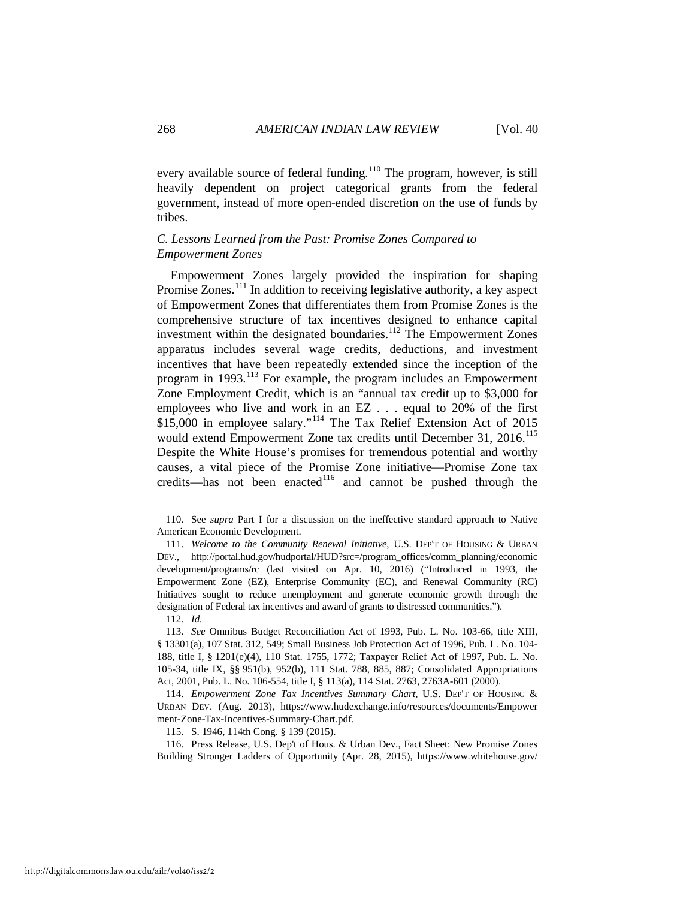every available source of federal funding.<sup>[110](#page-20-0)</sup> The program, however, is still heavily dependent on project categorical grants from the federal government, instead of more open-ended discretion on the use of funds by tribes.

## *C. Lessons Learned from the Past: Promise Zones Compared to Empowerment Zones*

Empowerment Zones largely provided the inspiration for shaping Promise Zones.<sup>111</sup> In addition to receiving legislative authority, a key aspect of Empowerment Zones that differentiates them from Promise Zones is the comprehensive structure of tax incentives designed to enhance capital investment within the designated boundaries.[112](#page-20-2) The Empowerment Zones apparatus includes several wage credits, deductions, and investment incentives that have been repeatedly extended since the inception of the program in 1993.<sup>[113](#page-20-3)</sup> For example, the program includes an Empowerment Zone Employment Credit, which is an "annual tax credit up to \$3,000 for employees who live and work in an EZ . . . equal to 20% of the first \$15,000 in employee salary."[114](#page-20-4) The Tax Relief Extension Act of 2015 would extend Empowerment Zone tax credits until December 31, 2016.<sup>[115](#page-20-5)</sup> Despite the White House's promises for tremendous potential and worthy causes, a vital piece of the Promise Zone initiative—Promise Zone tax credits—has not been enacted $116$  and cannot be pushed through the

-

115. S. 1946, 114th Cong. § 139 (2015).

<span id="page-20-6"></span><span id="page-20-5"></span>116. Press Release, U.S. Dep't of Hous. & Urban Dev., Fact Sheet: New Promise Zones Building Stronger Ladders of Opportunity (Apr. 28, 2015), https://www.whitehouse.gov/

<span id="page-20-0"></span><sup>110.</sup> See *supra* Part I for a discussion on the ineffective standard approach to Native American Economic Development.

<span id="page-20-1"></span><sup>111.</sup> *Welcome to the Community Renewal Initiative*, U.S. DEP'T OF HOUSING & URBAN DEV., http://portal.hud.gov/hudportal/HUD?src=/program\_offices/comm\_planning/economic development/programs/rc (last visited on Apr. 10, 2016) ("Introduced in 1993, the Empowerment Zone (EZ), Enterprise Community (EC), and Renewal Community (RC) Initiatives sought to reduce unemployment and generate economic growth through the designation of Federal tax incentives and award of grants to distressed communities.").

<sup>112.</sup> *Id.*

<span id="page-20-3"></span><span id="page-20-2"></span><sup>113.</sup> *See* Omnibus Budget Reconciliation Act of 1993, Pub. L. No. 103-66, title XIII, § 13301(a), 107 Stat. 312, 549; Small Business Job Protection Act of 1996, Pub. L. No. 104- 188, title I, § 1201(e)(4), 110 Stat. 1755, 1772; Taxpayer Relief Act of 1997, Pub. L. No. 105-34, title IX, §§ 951(b), 952(b), 111 Stat. 788, 885, 887; Consolidated Appropriations Act, 2001, Pub. L. No. 106-554, title I, § 113(a), 114 Stat. 2763, 2763A-601 (2000).

<span id="page-20-4"></span><sup>114.</sup> *Empowerment Zone Tax Incentives Summary Chart*, U.S. DEP'T OF HOUSING & URBAN DEV. (Aug. 2013), https://www.hudexchange.info/resources/documents/Empower ment-Zone-Tax-Incentives-Summary-Chart.pdf.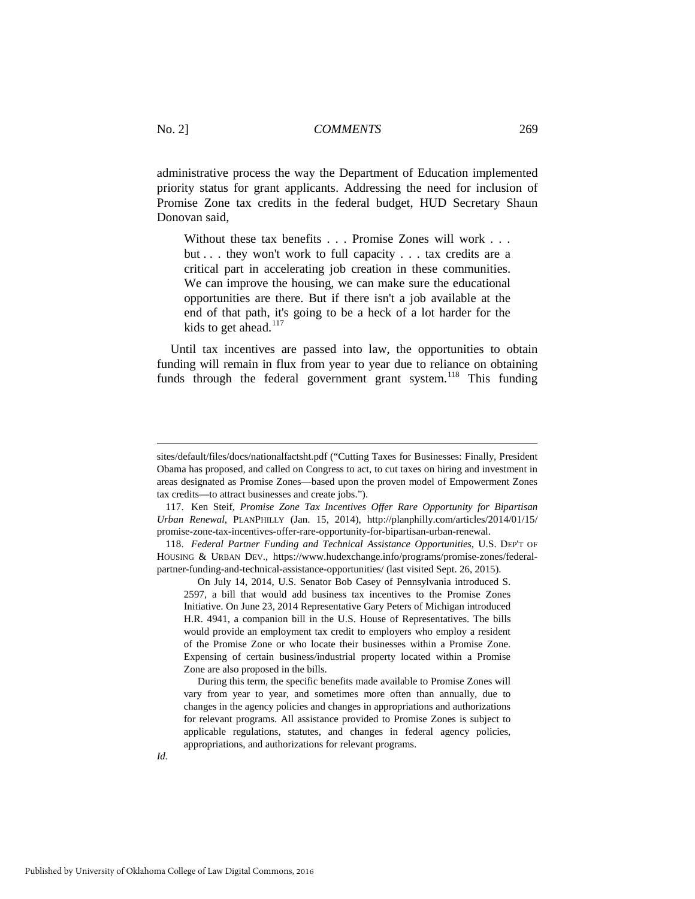administrative process the way the Department of Education implemented priority status for grant applicants. Addressing the need for inclusion of Promise Zone tax credits in the federal budget, HUD Secretary Shaun Donovan said,

Without these tax benefits . . . Promise Zones will work . . . but . . . they won't work to full capacity . . . tax credits are a critical part in accelerating job creation in these communities. We can improve the housing, we can make sure the educational opportunities are there. But if there isn't a job available at the end of that path, it's going to be a heck of a lot harder for the kids to get ahead.<sup>[117](#page-21-0)</sup>

Until tax incentives are passed into law, the opportunities to obtain funding will remain in flux from year to year due to reliance on obtaining funds through the federal government grant system.<sup>[118](#page-21-1)</sup> This funding

sites/default/files/docs/nationalfactsht.pdf ("Cutting Taxes for Businesses: Finally, President Obama has proposed, and called on Congress to act, to cut taxes on hiring and investment in areas designated as Promise Zones—based upon the proven model of Empowerment Zones tax credits—to attract businesses and create jobs.").

<span id="page-21-0"></span><sup>117.</sup> Ken Steif, *Promise Zone Tax Incentives Offer Rare Opportunity for Bipartisan Urban Renewal*, PLANPHILLY (Jan. 15, 2014), http://planphilly.com/articles/2014/01/15/ promise-zone-tax-incentives-offer-rare-opportunity-for-bipartisan-urban-renewal.

<span id="page-21-1"></span><sup>118.</sup> *Federal Partner Funding and Technical Assistance Opportunities*, U.S. DEP'T OF HOUSING & URBAN DEV., https://www.hudexchange.info/programs/promise-zones/federalpartner-funding-and-technical-assistance-opportunities/ (last visited Sept. 26, 2015).

On July 14, 2014, U.S. Senator Bob Casey of Pennsylvania introduced S. 2597, a bill that would add business tax incentives to the Promise Zones Initiative. On June 23, 2014 Representative Gary Peters of Michigan introduced H.R. 4941, a companion bill in the U.S. House of Representatives. The bills would provide an employment tax credit to employers who employ a resident of the Promise Zone or who locate their businesses within a Promise Zone. Expensing of certain business/industrial property located within a Promise Zone are also proposed in the bills.

During this term, the specific benefits made available to Promise Zones will vary from year to year, and sometimes more often than annually, due to changes in the agency policies and changes in appropriations and authorizations for relevant programs. All assistance provided to Promise Zones is subject to applicable regulations, statutes, and changes in federal agency policies, appropriations, and authorizations for relevant programs.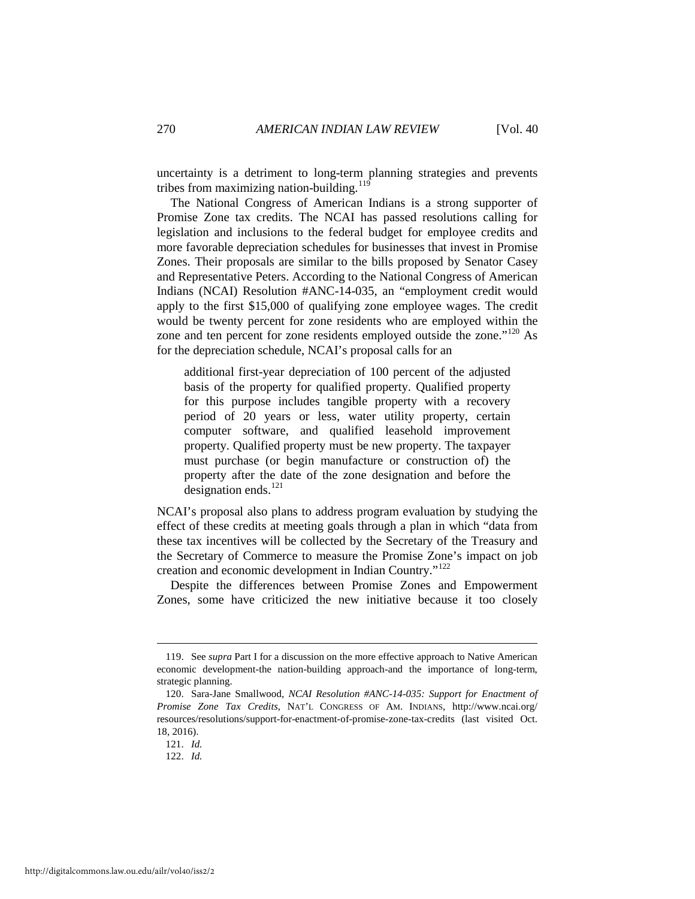uncertainty is a detriment to long-term planning strategies and prevents tribes from maximizing nation-building. $119$ 

The National Congress of American Indians is a strong supporter of Promise Zone tax credits. The NCAI has passed resolutions calling for legislation and inclusions to the federal budget for employee credits and more favorable depreciation schedules for businesses that invest in Promise Zones. Their proposals are similar to the bills proposed by Senator Casey and Representative Peters. According to the National Congress of American Indians (NCAI) Resolution #ANC-14-035, an "employment credit would apply to the first \$15,000 of qualifying zone employee wages. The credit would be twenty percent for zone residents who are employed within the zone and ten percent for zone residents employed outside the zone."<sup>[120](#page-22-1)</sup> As for the depreciation schedule, NCAI's proposal calls for an

additional first-year depreciation of 100 percent of the adjusted basis of the property for qualified property. Qualified property for this purpose includes tangible property with a recovery period of 20 years or less, water utility property, certain computer software, and qualified leasehold improvement property. Qualified property must be new property. The taxpayer must purchase (or begin manufacture or construction of) the property after the date of the zone designation and before the designation ends. $^{121}$ 

NCAI's proposal also plans to address program evaluation by studying the effect of these credits at meeting goals through a plan in which "data from these tax incentives will be collected by the Secretary of the Treasury and the Secretary of Commerce to measure the Promise Zone's impact on job creation and economic development in Indian Country."[122](#page-22-3)

Despite the differences between Promise Zones and Empowerment Zones, some have criticized the new initiative because it too closely

<span id="page-22-0"></span><sup>119.</sup> See *supra* Part I for a discussion on the more effective approach to Native American economic development-the nation-building approach-and the importance of long-term, strategic planning.

<span id="page-22-1"></span><sup>120.</sup> Sara-Jane Smallwood, *NCAI Resolution #ANC-14-035: Support for Enactment of Promise Zone Tax Credits*, NAT'L CONGRESS OF AM. INDIANS, http://www.ncai.org/ resources/resolutions/support-for-enactment-of-promise-zone-tax-credits (last visited Oct. 18, 2016).

<span id="page-22-3"></span><span id="page-22-2"></span><sup>121.</sup> *Id.*

<sup>122.</sup> *Id.*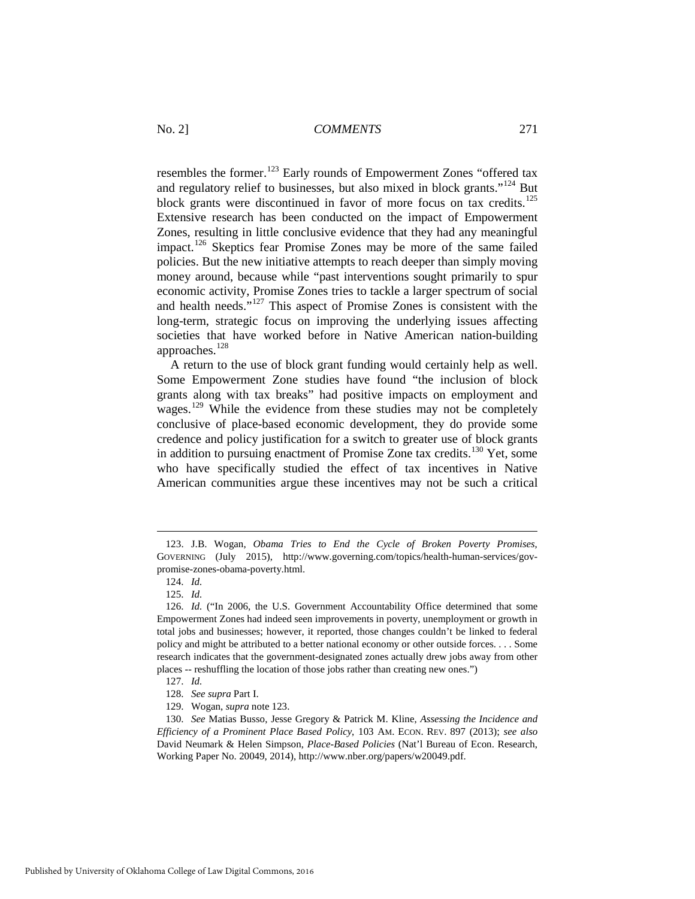resembles the former.<sup>[123](#page-23-0)</sup> Early rounds of Empowerment Zones "offered tax and regulatory relief to businesses, but also mixed in block grants."[124](#page-23-1) But block grants were discontinued in favor of more focus on tax credits.<sup>[125](#page-23-2)</sup> Extensive research has been conducted on the impact of Empowerment Zones, resulting in little conclusive evidence that they had any meaningful impact.[126](#page-23-3) Skeptics fear Promise Zones may be more of the same failed policies. But the new initiative attempts to reach deeper than simply moving money around, because while "past interventions sought primarily to spur economic activity, Promise Zones tries to tackle a larger spectrum of social and health needs."[127](#page-23-4) This aspect of Promise Zones is consistent with the long-term, strategic focus on improving the underlying issues affecting societies that have worked before in Native American nation-building approaches.<sup>[128](#page-23-5)</sup>

A return to the use of block grant funding would certainly help as well. Some Empowerment Zone studies have found "the inclusion of block grants along with tax breaks" had positive impacts on employment and wages.<sup>[129](#page-23-6)</sup> While the evidence from these studies may not be completely conclusive of place-based economic development, they do provide some credence and policy justification for a switch to greater use of block grants in addition to pursuing enactment of Promise Zone tax credits.<sup>[130](#page-23-7)</sup> Yet, some who have specifically studied the effect of tax incentives in Native American communities argue these incentives may not be such a critical

<span id="page-23-0"></span><sup>123.</sup> J.B. Wogan, *Obama Tries to End the Cycle of Broken Poverty Promises*, GOVERNING (July 2015), http://www.governing.com/topics/health-human-services/govpromise-zones-obama-poverty.html.

<sup>124.</sup> *Id.*

<sup>125.</sup> *Id.*

<span id="page-23-3"></span><span id="page-23-2"></span><span id="page-23-1"></span><sup>126.</sup> *Id.* ("In 2006, the U.S. Government Accountability Office determined that some Empowerment Zones had indeed seen improvements in poverty, unemployment or growth in total jobs and businesses; however, it reported, those changes couldn't be linked to federal policy and might be attributed to a better national economy or other outside forces. . . . Some research indicates that the government-designated zones actually drew jobs away from other places -- reshuffling the location of those jobs rather than creating new ones.")

<sup>127.</sup> *Id.*

<sup>128.</sup> *See supra* Part I.

<sup>129.</sup> Wogan, *supra* note 123.

<span id="page-23-7"></span><span id="page-23-6"></span><span id="page-23-5"></span><span id="page-23-4"></span><sup>130.</sup> *See* Matias Busso, Jesse Gregory & Patrick M. Kline, *Assessing the Incidence and Efficiency of a Prominent Place Based Policy*, 103 AM. ECON. REV. 897 (2013); *see also* David Neumark & Helen Simpson, *Place-Based Policies* (Nat'l Bureau of Econ. Research, Working Paper No. 20049, 2014), http://www.nber.org/papers/w20049.pdf.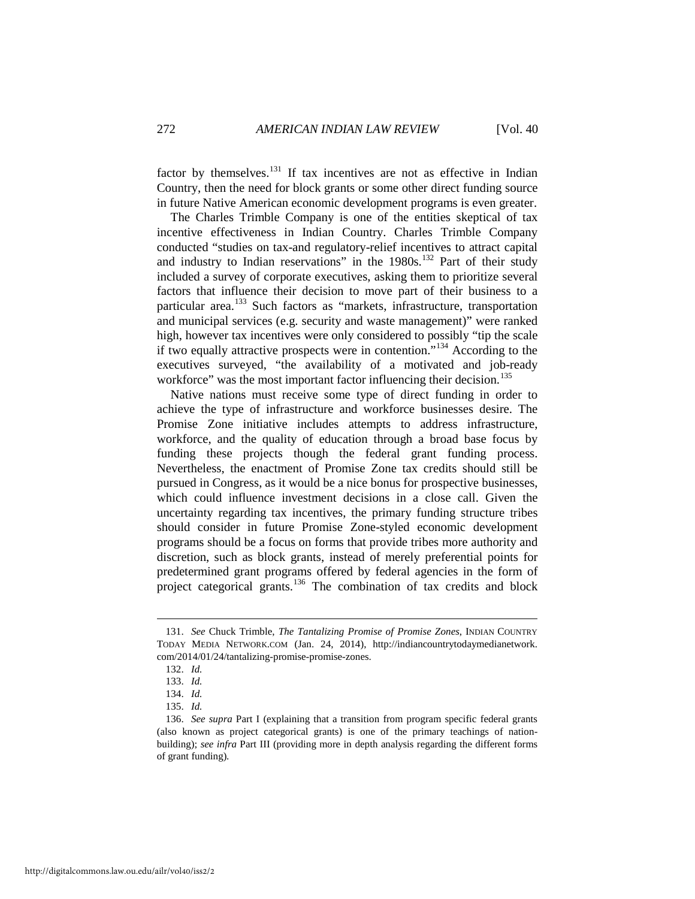factor by themselves.<sup>[131](#page-24-0)</sup> If tax incentives are not as effective in Indian Country, then the need for block grants or some other direct funding source in future Native American economic development programs is even greater.

The Charles Trimble Company is one of the entities skeptical of tax incentive effectiveness in Indian Country. Charles Trimble Company conducted "studies on tax-and regulatory-relief incentives to attract capital and industry to Indian reservations" in the  $1980s$ .<sup>[132](#page-24-1)</sup> Part of their study included a survey of corporate executives, asking them to prioritize several factors that influence their decision to move part of their business to a particular area.<sup>[133](#page-24-2)</sup> Such factors as "markets, infrastructure, transportation and municipal services (e.g. security and waste management)" were ranked high, however tax incentives were only considered to possibly "tip the scale if two equally attractive prospects were in contention."[134](#page-24-3) According to the executives surveyed, "the availability of a motivated and job-ready workforce" was the most important factor influencing their decision.<sup>[135](#page-24-4)</sup>

Native nations must receive some type of direct funding in order to achieve the type of infrastructure and workforce businesses desire. The Promise Zone initiative includes attempts to address infrastructure, workforce, and the quality of education through a broad base focus by funding these projects though the federal grant funding process. Nevertheless, the enactment of Promise Zone tax credits should still be pursued in Congress, as it would be a nice bonus for prospective businesses, which could influence investment decisions in a close call. Given the uncertainty regarding tax incentives, the primary funding structure tribes should consider in future Promise Zone-styled economic development programs should be a focus on forms that provide tribes more authority and discretion, such as block grants, instead of merely preferential points for predetermined grant programs offered by federal agencies in the form of project categorical grants.<sup>[136](#page-24-5)</sup> The combination of tax credits and block

<span id="page-24-1"></span><span id="page-24-0"></span><sup>131.</sup> *See* Chuck Trimble, *The Tantalizing Promise of Promise Zones*, INDIAN COUNTRY TODAY MEDIA NETWORK.COM (Jan. 24, 2014), http://indiancountrytodaymedianetwork. com/2014/01/24/tantalizing-promise-promise-zones.

<sup>132.</sup> *Id.*

<sup>133.</sup> *Id.*

<sup>134.</sup> *Id.*

<sup>135.</sup> *Id.*

<span id="page-24-5"></span><span id="page-24-4"></span><span id="page-24-3"></span><span id="page-24-2"></span><sup>136.</sup> *See supra* Part I (explaining that a transition from program specific federal grants (also known as project categorical grants) is one of the primary teachings of nationbuilding); *see infra* Part III (providing more in depth analysis regarding the different forms of grant funding).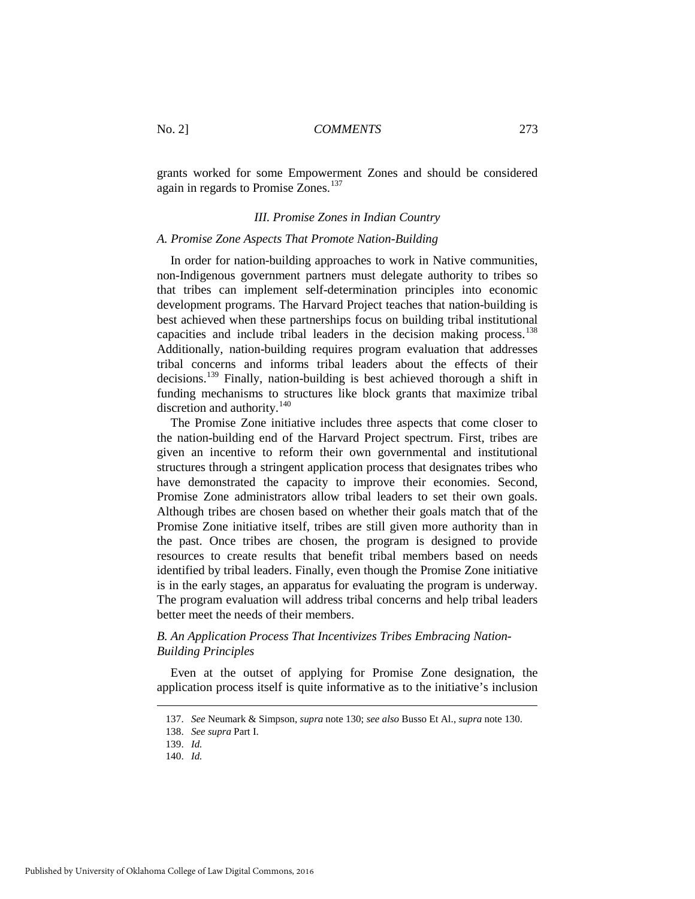grants worked for some Empowerment Zones and should be considered again in regards to Promise Zones.<sup>137</sup>

## *III. Promise Zones in Indian Country*

## *A. Promise Zone Aspects That Promote Nation-Building*

In order for nation-building approaches to work in Native communities, non-Indigenous government partners must delegate authority to tribes so that tribes can implement self-determination principles into economic development programs. The Harvard Project teaches that nation-building is best achieved when these partnerships focus on building tribal institutional capacities and include tribal leaders in the decision making process.<sup>[138](#page-25-1)</sup> Additionally, nation-building requires program evaluation that addresses tribal concerns and informs tribal leaders about the effects of their decisions.[139](#page-25-2) Finally, nation-building is best achieved thorough a shift in funding mechanisms to structures like block grants that maximize tribal discretion and authority.<sup>[140](#page-25-3)</sup>

The Promise Zone initiative includes three aspects that come closer to the nation-building end of the Harvard Project spectrum. First, tribes are given an incentive to reform their own governmental and institutional structures through a stringent application process that designates tribes who have demonstrated the capacity to improve their economies. Second, Promise Zone administrators allow tribal leaders to set their own goals. Although tribes are chosen based on whether their goals match that of the Promise Zone initiative itself, tribes are still given more authority than in the past. Once tribes are chosen, the program is designed to provide resources to create results that benefit tribal members based on needs identified by tribal leaders. Finally, even though the Promise Zone initiative is in the early stages, an apparatus for evaluating the program is underway. The program evaluation will address tribal concerns and help tribal leaders better meet the needs of their members.

## *B. An Application Process That Incentivizes Tribes Embracing Nation-Building Principles*

Even at the outset of applying for Promise Zone designation, the application process itself is quite informative as to the initiative's inclusion

<span id="page-25-3"></span><span id="page-25-2"></span><span id="page-25-1"></span><span id="page-25-0"></span>Published by University of Oklahoma College of Law Digital Commons, 2016

<sup>137.</sup> *See* Neumark & Simpson, *supra* note 130; *see also* Busso Et Al., *supra* note 130.

<sup>138.</sup> *See supra* Part I.

<sup>139.</sup> *Id.*

<sup>140.</sup> *Id.*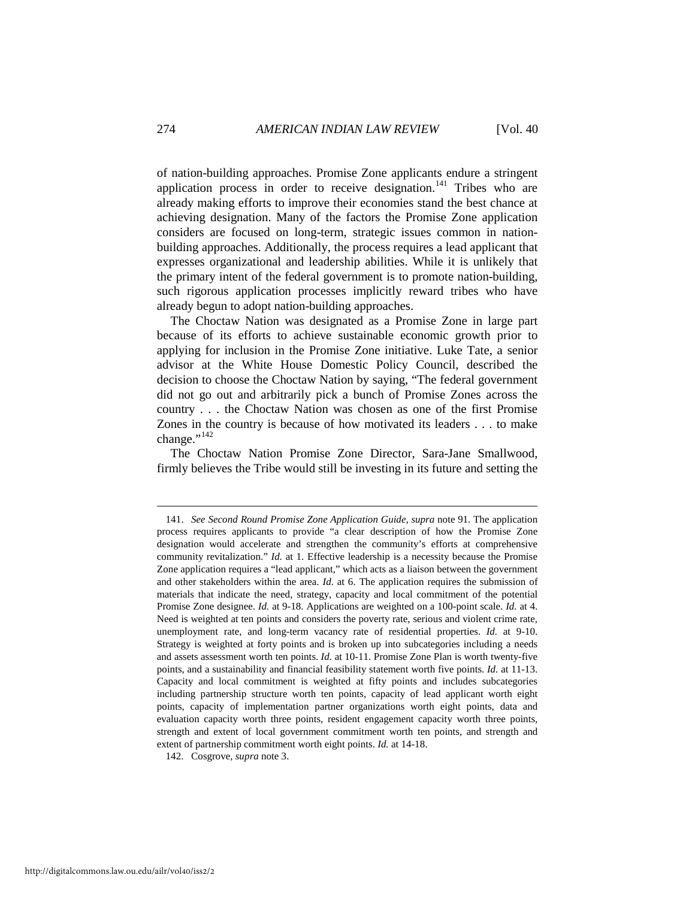of nation-building approaches. Promise Zone applicants endure a stringent application process in order to receive designation.<sup>[141](#page-26-0)</sup> Tribes who are already making efforts to improve their economies stand the best chance at achieving designation. Many of the factors the Promise Zone application considers are focused on long-term, strategic issues common in nationbuilding approaches. Additionally, the process requires a lead applicant that expresses organizational and leadership abilities. While it is unlikely that the primary intent of the federal government is to promote nation-building, such rigorous application processes implicitly reward tribes who have already begun to adopt nation-building approaches.

The Choctaw Nation was designated as a Promise Zone in large part because of its efforts to achieve sustainable economic growth prior to applying for inclusion in the Promise Zone initiative. Luke Tate, a senior advisor at the White House Domestic Policy Council, described the decision to choose the Choctaw Nation by saying, "The federal government did not go out and arbitrarily pick a bunch of Promise Zones across the country . . . the Choctaw Nation was chosen as one of the first Promise Zones in the country is because of how motivated its leaders . . . to make change." $^{142}$ 

The Choctaw Nation Promise Zone Director, Sara-Jane Smallwood, firmly believes the Tribe would still be investing in its future and setting the

<span id="page-26-1"></span>142. Cosgrove, *supra* note 3.

<span id="page-26-0"></span><sup>141.</sup> *See Second Round Promise Zone Application Guide*, *supra* note 91. The application process requires applicants to provide "a clear description of how the Promise Zone designation would accelerate and strengthen the community's efforts at comprehensive community revitalization." *Id.* at 1. Effective leadership is a necessity because the Promise Zone application requires a "lead applicant," which acts as a liaison between the government and other stakeholders within the area. *Id.* at 6. The application requires the submission of materials that indicate the need, strategy, capacity and local commitment of the potential Promise Zone designee. *Id.* at 9-18. Applications are weighted on a 100-point scale. *Id.* at 4. Need is weighted at ten points and considers the poverty rate, serious and violent crime rate, unemployment rate, and long-term vacancy rate of residential properties. *Id.* at 9-10. Strategy is weighted at forty points and is broken up into subcategories including a needs and assets assessment worth ten points. *Id.* at 10-11. Promise Zone Plan is worth twenty-five points, and a sustainability and financial feasibility statement worth five points. *Id.* at 11-13. Capacity and local commitment is weighted at fifty points and includes subcategories including partnership structure worth ten points, capacity of lead applicant worth eight points, capacity of implementation partner organizations worth eight points, data and evaluation capacity worth three points, resident engagement capacity worth three points, strength and extent of local government commitment worth ten points, and strength and extent of partnership commitment worth eight points. *Id.* at 14-18.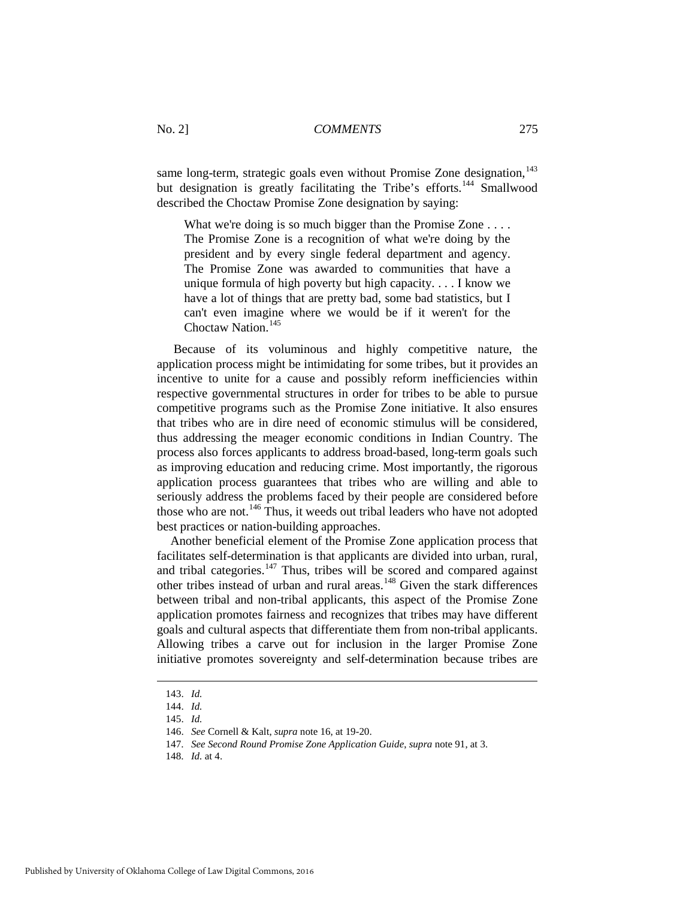same long-term, strategic goals even without Promise Zone designation, $143$ but designation is greatly facilitating the Tribe's efforts.<sup>144</sup> Smallwood described the Choctaw Promise Zone designation by saying:

What we're doing is so much bigger than the Promise Zone . . . . The Promise Zone is a recognition of what we're doing by the president and by every single federal department and agency. The Promise Zone was awarded to communities that have a unique formula of high poverty but high capacity. . . . I know we have a lot of things that are pretty bad, some bad statistics, but I can't even imagine where we would be if it weren't for the Choctaw Nation.<sup>[145](#page-27-2)</sup>

Because of its voluminous and highly competitive nature, the application process might be intimidating for some tribes, but it provides an incentive to unite for a cause and possibly reform inefficiencies within respective governmental structures in order for tribes to be able to pursue competitive programs such as the Promise Zone initiative. It also ensures that tribes who are in dire need of economic stimulus will be considered, thus addressing the meager economic conditions in Indian Country. The process also forces applicants to address broad-based, long-term goals such as improving education and reducing crime. Most importantly, the rigorous application process guarantees that tribes who are willing and able to seriously address the problems faced by their people are considered before those who are not.<sup>[146](#page-27-3)</sup> Thus, it weeds out tribal leaders who have not adopted best practices or nation-building approaches.

Another beneficial element of the Promise Zone application process that facilitates self-determination is that applicants are divided into urban, rural, and tribal categories.<sup>[147](#page-27-4)</sup> Thus, tribes will be scored and compared against other tribes instead of urban and rural areas.<sup>[148](#page-27-5)</sup> Given the stark differences between tribal and non-tribal applicants, this aspect of the Promise Zone application promotes fairness and recognizes that tribes may have different goals and cultural aspects that differentiate them from non-tribal applicants. Allowing tribes a carve out for inclusion in the larger Promise Zone initiative promotes sovereignty and self-determination because tribes are

<span id="page-27-0"></span><sup>143.</sup> *Id.*

<span id="page-27-1"></span><sup>144.</sup> *Id.*

<span id="page-27-2"></span><sup>145.</sup> *Id.*

<span id="page-27-3"></span><sup>146.</sup> *See* Cornell & Kalt, *supra* note 16, at 19-20.

<span id="page-27-4"></span><sup>147.</sup> *See Second Round Promise Zone Application Guide*, *supra* note 91, at 3.

<span id="page-27-5"></span><sup>148.</sup> *Id.* at 4.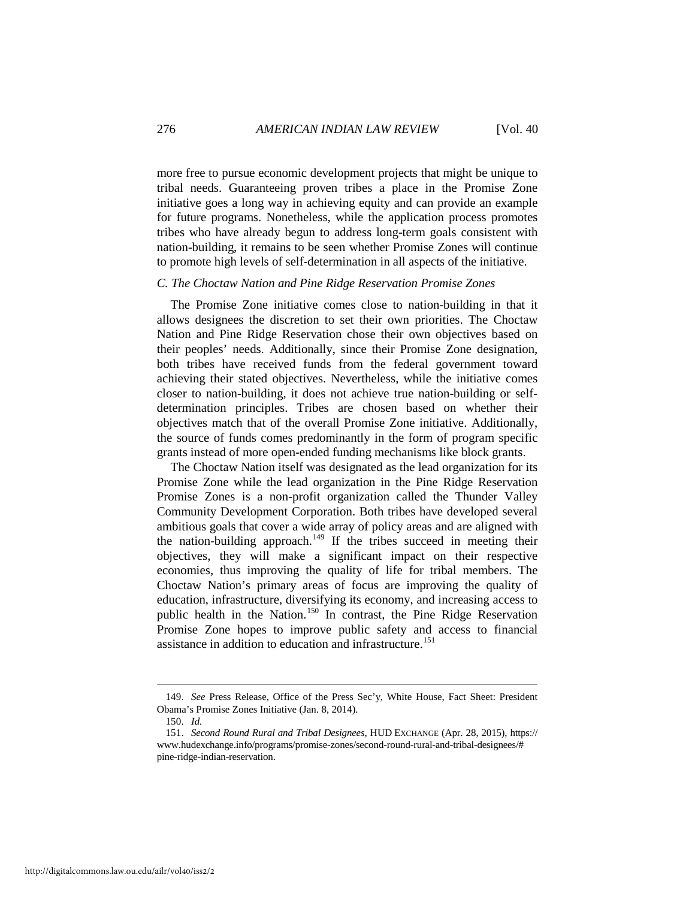more free to pursue economic development projects that might be unique to tribal needs. Guaranteeing proven tribes a place in the Promise Zone initiative goes a long way in achieving equity and can provide an example for future programs. Nonetheless, while the application process promotes tribes who have already begun to address long-term goals consistent with nation-building, it remains to be seen whether Promise Zones will continue to promote high levels of self-determination in all aspects of the initiative.

#### *C. The Choctaw Nation and Pine Ridge Reservation Promise Zones*

The Promise Zone initiative comes close to nation-building in that it allows designees the discretion to set their own priorities. The Choctaw Nation and Pine Ridge Reservation chose their own objectives based on their peoples' needs. Additionally, since their Promise Zone designation, both tribes have received funds from the federal government toward achieving their stated objectives. Nevertheless, while the initiative comes closer to nation-building, it does not achieve true nation-building or selfdetermination principles. Tribes are chosen based on whether their objectives match that of the overall Promise Zone initiative. Additionally, the source of funds comes predominantly in the form of program specific grants instead of more open-ended funding mechanisms like block grants.

The Choctaw Nation itself was designated as the lead organization for its Promise Zone while the lead organization in the Pine Ridge Reservation Promise Zones is a non-profit organization called the Thunder Valley Community Development Corporation. Both tribes have developed several ambitious goals that cover a wide array of policy areas and are aligned with the nation-building approach.<sup>[149](#page-28-0)</sup> If the tribes succeed in meeting their objectives, they will make a significant impact on their respective economies, thus improving the quality of life for tribal members. The Choctaw Nation's primary areas of focus are improving the quality of education, infrastructure, diversifying its economy, and increasing access to public health in the Nation.[150](#page-28-1) In contrast, the Pine Ridge Reservation Promise Zone hopes to improve public safety and access to financial assistance in addition to education and infrastructure.<sup>151</sup>

<span id="page-28-0"></span><sup>149.</sup> *See* Press Release, Office of the Press Sec'y, White House, Fact Sheet: President Obama's Promise Zones Initiative (Jan. 8, 2014).

<sup>150.</sup> *Id.*

<span id="page-28-2"></span><span id="page-28-1"></span><sup>151.</sup> *Second Round Rural and Tribal Designees*, HUD EXCHANGE (Apr. 28, 2015), https:// www.hudexchange.info/programs/promise-zones/second-round-rural-and-tribal-designees/# pine-ridge-indian-reservation.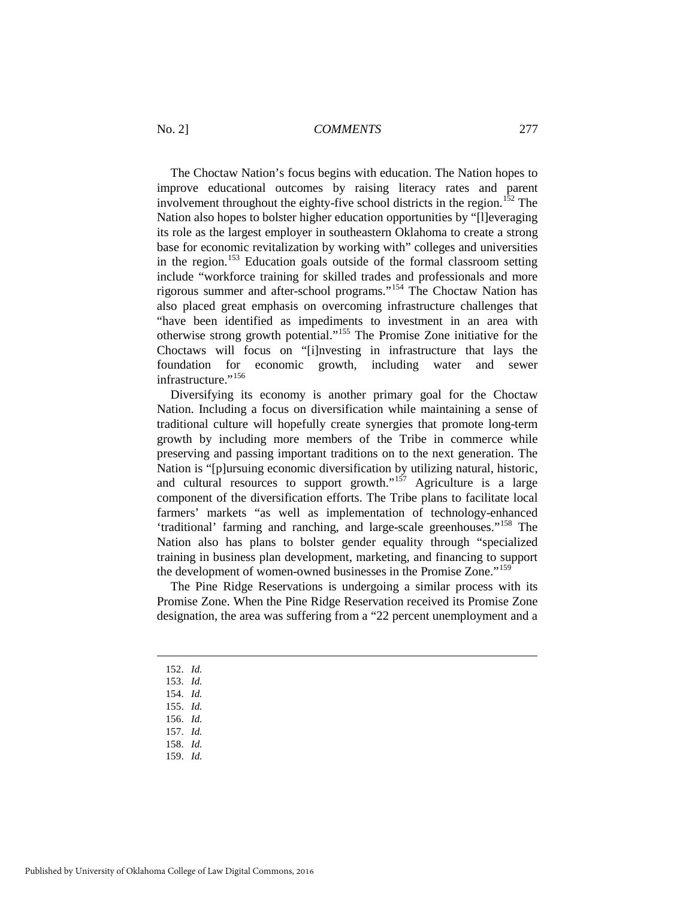The Choctaw Nation's focus begins with education. The Nation hopes to improve educational outcomes by raising literacy rates and parent involvement throughout the eighty-five school districts in the region.<sup>[152](#page-29-0)</sup> The Nation also hopes to bolster higher education opportunities by "[l]everaging its role as the largest employer in southeastern Oklahoma to create a strong base for economic revitalization by working with" colleges and universities in the region.<sup>[153](#page-29-1)</sup> Education goals outside of the formal classroom setting include "workforce training for skilled trades and professionals and more rigorous summer and after-school programs."[154](#page-29-2) The Choctaw Nation has also placed great emphasis on overcoming infrastructure challenges that "have been identified as impediments to investment in an area with otherwise strong growth potential."[155](#page-29-3) The Promise Zone initiative for the Choctaws will focus on "[i]nvesting in infrastructure that lays the foundation for economic growth, including water and sewer infrastructure."<sup>[156](#page-29-4)</sup>

Diversifying its economy is another primary goal for the Choctaw Nation. Including a focus on diversification while maintaining a sense of traditional culture will hopefully create synergies that promote long-term growth by including more members of the Tribe in commerce while preserving and passing important traditions on to the next generation. The Nation is "[p]ursuing economic diversification by utilizing natural, historic, and cultural resources to support growth." $157$  Agriculture is a large component of the diversification efforts. The Tribe plans to facilitate local farmers' markets "as well as implementation of technology-enhanced 'traditional' farming and ranching, and large-scale greenhouses."<sup>[158](#page-29-6)</sup> The Nation also has plans to bolster gender equality through "specialized training in business plan development, marketing, and financing to support the development of women-owned businesses in the Promise Zone."<sup>159</sup>

The Pine Ridge Reservations is undergoing a similar process with its Promise Zone. When the Pine Ridge Reservation received its Promise Zone designation, the area was suffering from a "22 percent unemployment and a

<span id="page-29-0"></span>152. *Id.*

- 153. *Id.*
- <span id="page-29-3"></span><span id="page-29-2"></span><span id="page-29-1"></span>154. *Id.*
- 155. *Id.*
- 156. *Id.*
- <span id="page-29-6"></span><span id="page-29-5"></span><span id="page-29-4"></span>157. *Id.*
- 158. *Id.*
- <span id="page-29-7"></span>159. *Id.*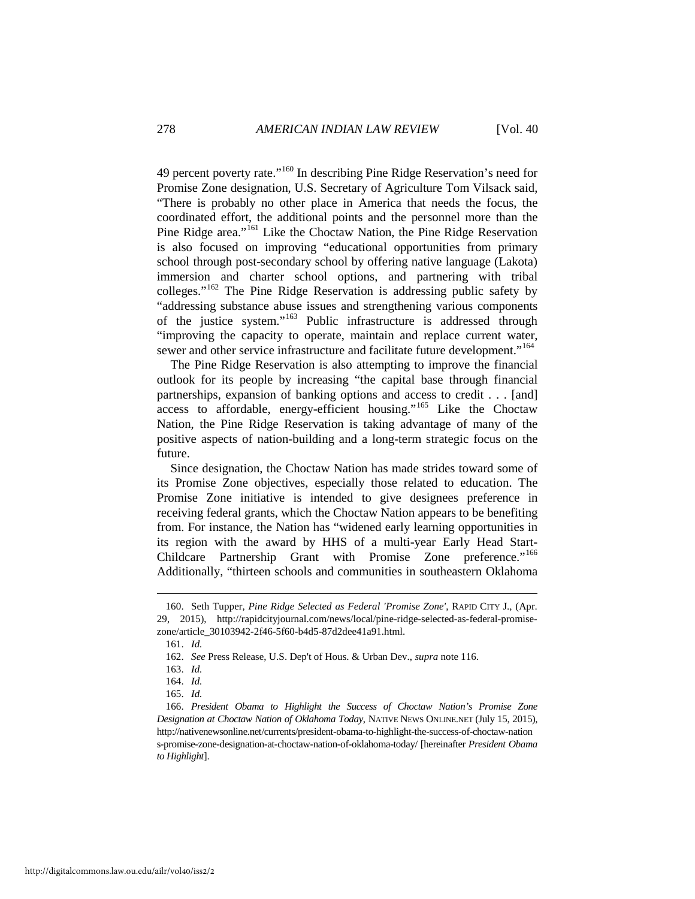49 percent poverty rate."[160](#page-30-0) In describing Pine Ridge Reservation's need for Promise Zone designation, U.S. Secretary of Agriculture Tom Vilsack said, "There is probably no other place in America that needs the focus, the coordinated effort, the additional points and the personnel more than the Pine Ridge area."<sup>[161](#page-30-1)</sup> Like the Choctaw Nation, the Pine Ridge Reservation is also focused on improving "educational opportunities from primary school through post-secondary school by offering native language (Lakota) immersion and charter school options, and partnering with tribal colleges."[162](#page-30-2) The Pine Ridge Reservation is addressing public safety by "addressing substance abuse issues and strengthening various components of the justice system."[163](#page-30-3) Public infrastructure is addressed through "improving the capacity to operate, maintain and replace current water, sewer and other service infrastructure and facilitate future development."<sup>164</sup>

The Pine Ridge Reservation is also attempting to improve the financial outlook for its people by increasing "the capital base through financial partnerships, expansion of banking options and access to credit . . . [and] access to affordable, energy-efficient housing."[165](#page-30-5) Like the Choctaw Nation, the Pine Ridge Reservation is taking advantage of many of the positive aspects of nation-building and a long-term strategic focus on the future.

Since designation, the Choctaw Nation has made strides toward some of its Promise Zone objectives, especially those related to education. The Promise Zone initiative is intended to give designees preference in receiving federal grants, which the Choctaw Nation appears to be benefiting from. For instance, the Nation has "widened early learning opportunities in its region with the award by HHS of a multi-year Early Head Start-Childcare Partnership Grant with Promise Zone preference."[166](#page-30-6) Additionally, "thirteen schools and communities in southeastern Oklahoma

<span id="page-30-2"></span><span id="page-30-1"></span><span id="page-30-0"></span><sup>160.</sup> Seth Tupper, *Pine Ridge Selected as Federal 'Promise Zone'*, RAPID CITY J., (Apr. 29, 2015), http://rapidcityjournal.com/news/local/pine-ridge-selected-as-federal-promisezone/article\_30103942-2f46-5f60-b4d5-87d2dee41a91.html.

<sup>161.</sup> *Id.*

<sup>162.</sup> *See* Press Release, U.S. Dep't of Hous. & Urban Dev., *supra* note 116.

<sup>163.</sup> *Id.*

<sup>164.</sup> *Id.*

<sup>165.</sup> *Id.*

<span id="page-30-6"></span><span id="page-30-5"></span><span id="page-30-4"></span><span id="page-30-3"></span><sup>166.</sup> *President Obama to Highlight the Success of Choctaw Nation's Promise Zone Designation at Choctaw Nation of Oklahoma Today*, NATIVE NEWS ONLINE.NET (July 15, 2015), http://nativenewsonline.net/currents/president-obama-to-highlight-the-success-of-choctaw-nation s-promise-zone-designation-at-choctaw-nation-of-oklahoma-today/ [hereinafter *President Obama to Highlight*].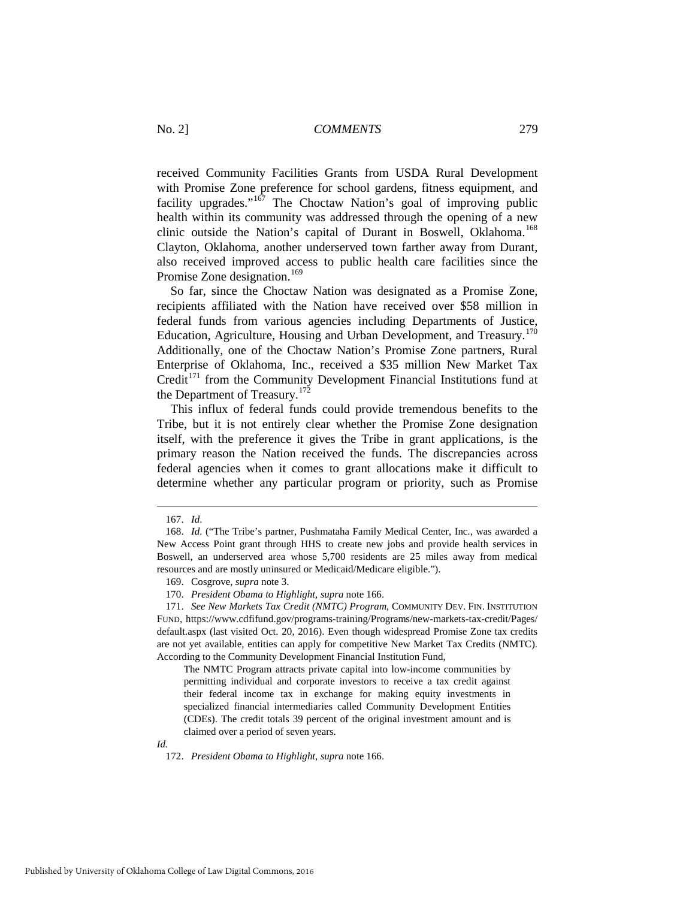received Community Facilities Grants from USDA Rural Development with Promise Zone preference for school gardens, fitness equipment, and facility upgrades."<sup>[167](#page-31-0)</sup> The Choctaw Nation's goal of improving public health within its community was addressed through the opening of a new clinic outside the Nation's capital of Durant in Boswell, Oklahoma.<sup>[168](#page-31-1)</sup> Clayton, Oklahoma, another underserved town farther away from Durant, also received improved access to public health care facilities since the Promise Zone designation.<sup>169</sup>

So far, since the Choctaw Nation was designated as a Promise Zone, recipients affiliated with the Nation have received over \$58 million in federal funds from various agencies including Departments of Justice, Education, Agriculture, Housing and Urban Development, and Treasury.<sup>[170](#page-31-3)</sup> Additionally, one of the Choctaw Nation's Promise Zone partners, Rural Enterprise of Oklahoma, Inc., received a \$35 million New Market Tax Credit<sup>[171](#page-31-4)</sup> from the Community Development Financial Institutions fund at the Department of Treasury.<sup>172</sup>

This influx of federal funds could provide tremendous benefits to the Tribe, but it is not entirely clear whether the Promise Zone designation itself, with the preference it gives the Tribe in grant applications, is the primary reason the Nation received the funds. The discrepancies across federal agencies when it comes to grant allocations make it difficult to determine whether any particular program or priority, such as Promise

-

The NMTC Program attracts private capital into low-income communities by permitting individual and corporate investors to receive a tax credit against their federal income tax in exchange for making equity investments in specialized financial intermediaries called Community Development Entities (CDEs). The credit totals 39 percent of the original investment amount and is claimed over a period of seven years.

<span id="page-31-5"></span>*Id.*

<sup>167.</sup> *Id*.

<span id="page-31-1"></span><span id="page-31-0"></span><sup>168.</sup> *Id*. ("The Tribe's partner, Pushmataha Family Medical Center, Inc., was awarded a New Access Point grant through HHS to create new jobs and provide health services in Boswell, an underserved area whose 5,700 residents are 25 miles away from medical resources and are mostly uninsured or Medicaid/Medicare eligible.").

<sup>169.</sup> Cosgrove, *supra* note 3.

<sup>170.</sup> *President Obama to Highlight*, *supra* note 166.

<span id="page-31-4"></span><span id="page-31-3"></span><span id="page-31-2"></span><sup>171.</sup> *See New Markets Tax Credit (NMTC) Program*, COMMUNITY DEV. FIN. INSTITUTION FUND, https://www.cdfifund.gov/programs-training/Programs/new-markets-tax-credit/Pages/ default.aspx (last visited Oct. 20, 2016). Even though widespread Promise Zone tax credits are not yet available, entities can apply for competitive New Market Tax Credits (NMTC). According to the Community Development Financial Institution Fund,

<sup>172.</sup> *President Obama to Highlight*, *supra* note 166.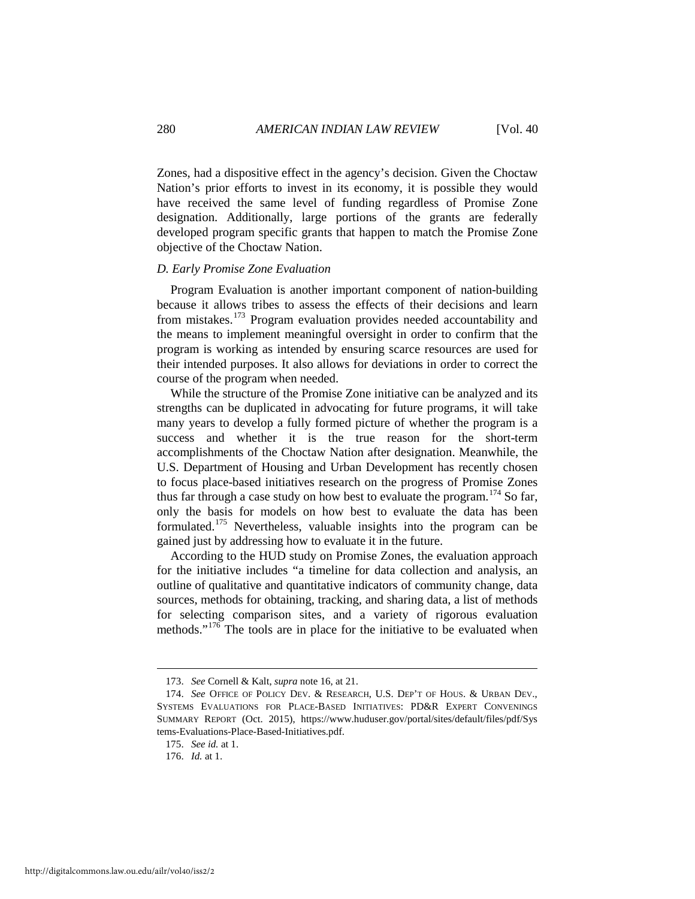Zones, had a dispositive effect in the agency's decision. Given the Choctaw Nation's prior efforts to invest in its economy, it is possible they would have received the same level of funding regardless of Promise Zone designation. Additionally, large portions of the grants are federally developed program specific grants that happen to match the Promise Zone objective of the Choctaw Nation.

## *D. Early Promise Zone Evaluation*

Program Evaluation is another important component of nation-building because it allows tribes to assess the effects of their decisions and learn from mistakes.[173](#page-32-0) Program evaluation provides needed accountability and the means to implement meaningful oversight in order to confirm that the program is working as intended by ensuring scarce resources are used for their intended purposes. It also allows for deviations in order to correct the course of the program when needed.

While the structure of the Promise Zone initiative can be analyzed and its strengths can be duplicated in advocating for future programs, it will take many years to develop a fully formed picture of whether the program is a success and whether it is the true reason for the short-term accomplishments of the Choctaw Nation after designation. Meanwhile, the U.S. Department of Housing and Urban Development has recently chosen to focus place-based initiatives research on the progress of Promise Zones thus far through a case study on how best to evaluate the program.<sup>[174](#page-32-1)</sup> So far, only the basis for models on how best to evaluate the data has been formulated.<sup>[175](#page-32-2)</sup> Nevertheless, valuable insights into the program can be gained just by addressing how to evaluate it in the future.

According to the HUD study on Promise Zones, the evaluation approach for the initiative includes "a timeline for data collection and analysis, an outline of qualitative and quantitative indicators of community change, data sources, methods for obtaining, tracking, and sharing data, a list of methods for selecting comparison sites, and a variety of rigorous evaluation methods."<sup>[176](#page-32-3)</sup> The tools are in place for the initiative to be evaluated when

<sup>173.</sup> *See* Cornell & Kalt, *supra* note 16, at 21.

<span id="page-32-2"></span><span id="page-32-1"></span><span id="page-32-0"></span><sup>174.</sup> *See* OFFICE OF POLICY DEV. & RESEARCH, U.S. DEP'T OF HOUS. & URBAN DEV., SYSTEMS EVALUATIONS FOR PLACE-BASED INITIATIVES: PD&R EXPERT CONVENINGS SUMMARY REPORT (Oct. 2015), https://www.huduser.gov/portal/sites/default/files/pdf/Sys tems-Evaluations-Place-Based-Initiatives.pdf.

<sup>175.</sup> *See id.* at 1.

<span id="page-32-3"></span><sup>176.</sup> *Id.* at 1.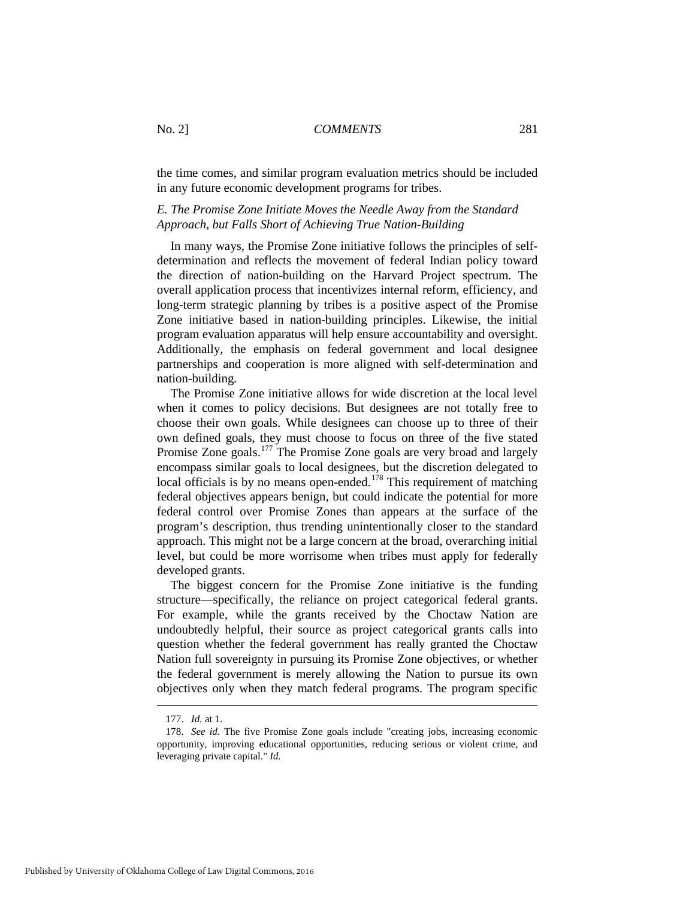the time comes, and similar program evaluation metrics should be included in any future economic development programs for tribes.

## *E. The Promise Zone Initiate Moves the Needle Away from the Standard Approach, but Falls Short of Achieving True Nation-Building*

In many ways, the Promise Zone initiative follows the principles of selfdetermination and reflects the movement of federal Indian policy toward the direction of nation-building on the Harvard Project spectrum. The overall application process that incentivizes internal reform, efficiency, and long-term strategic planning by tribes is a positive aspect of the Promise Zone initiative based in nation-building principles. Likewise, the initial program evaluation apparatus will help ensure accountability and oversight. Additionally, the emphasis on federal government and local designee partnerships and cooperation is more aligned with self-determination and nation-building.

The Promise Zone initiative allows for wide discretion at the local level when it comes to policy decisions. But designees are not totally free to choose their own goals. While designees can choose up to three of their own defined goals, they must choose to focus on three of the five stated Promise Zone goals.<sup>[177](#page-33-0)</sup> The Promise Zone goals are very broad and largely encompass similar goals to local designees, but the discretion delegated to local officials is by no means open-ended.<sup>[178](#page-33-1)</sup> This requirement of matching federal objectives appears benign, but could indicate the potential for more federal control over Promise Zones than appears at the surface of the program's description, thus trending unintentionally closer to the standard approach. This might not be a large concern at the broad, overarching initial level, but could be more worrisome when tribes must apply for federally developed grants.

The biggest concern for the Promise Zone initiative is the funding structure—specifically, the reliance on project categorical federal grants. For example, while the grants received by the Choctaw Nation are undoubtedly helpful, their source as project categorical grants calls into question whether the federal government has really granted the Choctaw Nation full sovereignty in pursuing its Promise Zone objectives, or whether the federal government is merely allowing the Nation to pursue its own objectives only when they match federal programs. The program specific

<sup>177.</sup> *Id.* at 1.

<span id="page-33-1"></span><span id="page-33-0"></span><sup>178.</sup> *See id.* The five Promise Zone goals include "creating jobs, increasing economic opportunity, improving educational opportunities, reducing serious or violent crime, and leveraging private capital." *Id.*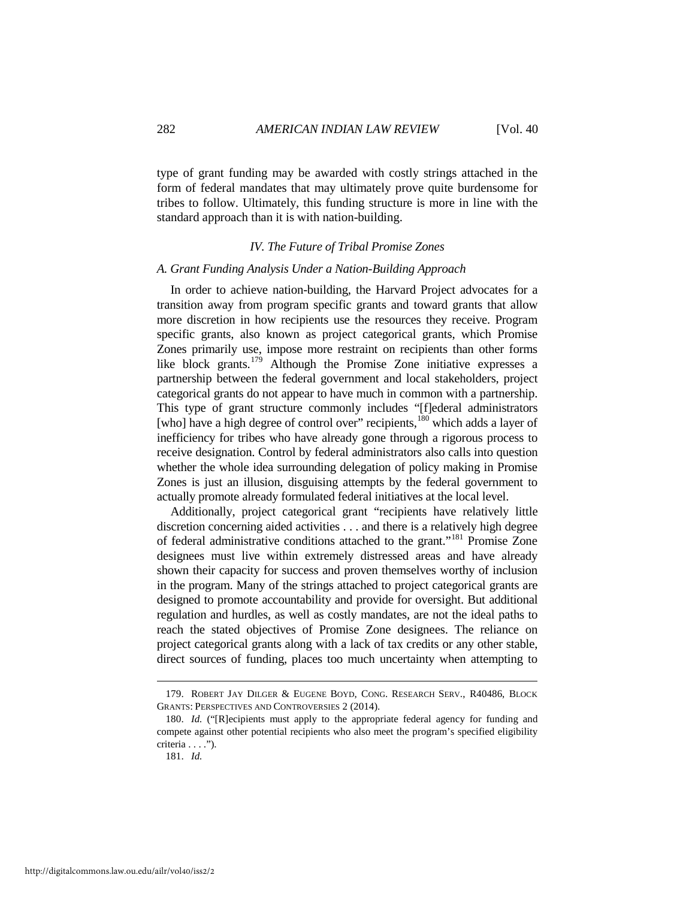type of grant funding may be awarded with costly strings attached in the form of federal mandates that may ultimately prove quite burdensome for tribes to follow. Ultimately, this funding structure is more in line with the standard approach than it is with nation-building.

#### *IV. The Future of Tribal Promise Zones*

## *A. Grant Funding Analysis Under a Nation-Building Approach*

In order to achieve nation-building, the Harvard Project advocates for a transition away from program specific grants and toward grants that allow more discretion in how recipients use the resources they receive. Program specific grants, also known as project categorical grants, which Promise Zones primarily use, impose more restraint on recipients than other forms like block grants.<sup>[179](#page-34-0)</sup> Although the Promise Zone initiative expresses a partnership between the federal government and local stakeholders, project categorical grants do not appear to have much in common with a partnership. This type of grant structure commonly includes "[f]ederal administrators [who] have a high degree of control over" recipients,<sup>[180](#page-34-1)</sup> which adds a layer of inefficiency for tribes who have already gone through a rigorous process to receive designation. Control by federal administrators also calls into question whether the whole idea surrounding delegation of policy making in Promise Zones is just an illusion, disguising attempts by the federal government to actually promote already formulated federal initiatives at the local level.

Additionally, project categorical grant "recipients have relatively little discretion concerning aided activities . . . and there is a relatively high degree of federal administrative conditions attached to the grant."[181](#page-34-2) Promise Zone designees must live within extremely distressed areas and have already shown their capacity for success and proven themselves worthy of inclusion in the program. Many of the strings attached to project categorical grants are designed to promote accountability and provide for oversight. But additional regulation and hurdles, as well as costly mandates, are not the ideal paths to reach the stated objectives of Promise Zone designees. The reliance on project categorical grants along with a lack of tax credits or any other stable, direct sources of funding, places too much uncertainty when attempting to

<span id="page-34-0"></span><sup>179.</sup> ROBERT JAY DILGER & EUGENE BOYD, CONG. RESEARCH SERV., R40486, BLOCK GRANTS: PERSPECTIVES AND CONTROVERSIES 2 (2014).

<span id="page-34-2"></span><span id="page-34-1"></span><sup>180.</sup> *Id.* ("[R]ecipients must apply to the appropriate federal agency for funding and compete against other potential recipients who also meet the program's specified eligibility criteria . . . .").

<sup>181.</sup> *Id.*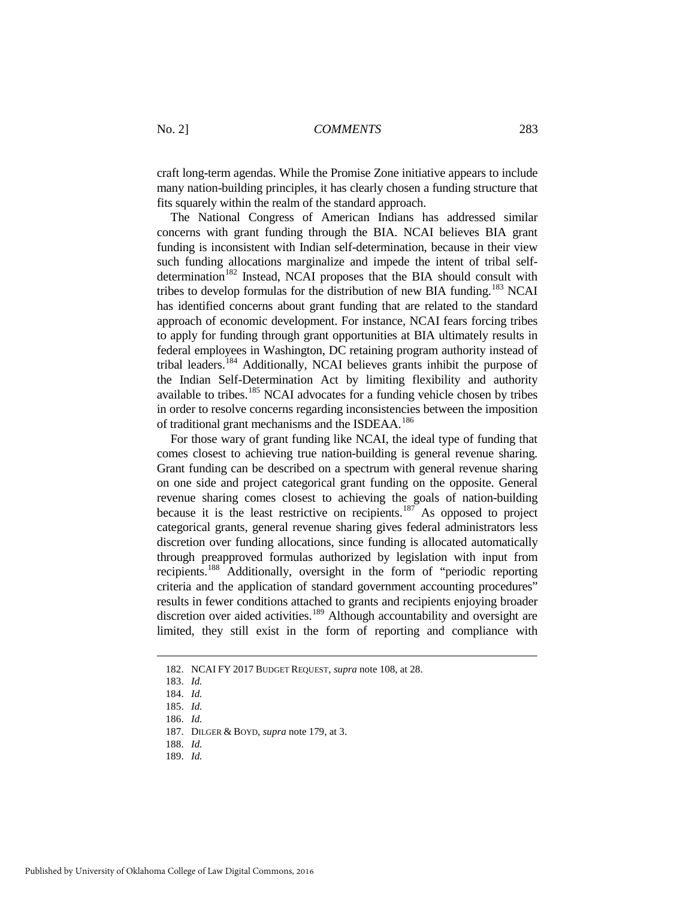craft long-term agendas. While the Promise Zone initiative appears to include many nation-building principles, it has clearly chosen a funding structure that fits squarely within the realm of the standard approach.

The National Congress of American Indians has addressed similar concerns with grant funding through the BIA. NCAI believes BIA grant funding is inconsistent with Indian self-determination, because in their view such funding allocations marginalize and impede the intent of tribal self-determination<sup>[182](#page-35-0)</sup> Instead, NCAI proposes that the BIA should consult with tribes to develop formulas for the distribution of new BIA funding.<sup>[183](#page-35-1)</sup> NCAI has identified concerns about grant funding that are related to the standard approach of economic development. For instance, NCAI fears forcing tribes to apply for funding through grant opportunities at BIA ultimately results in federal employees in Washington, DC retaining program authority instead of tribal leaders.[184](#page-35-2) Additionally, NCAI believes grants inhibit the purpose of the Indian Self-Determination Act by limiting flexibility and authority available to tribes.<sup>[185](#page-35-3)</sup> NCAI advocates for a funding vehicle chosen by tribes in order to resolve concerns regarding inconsistencies between the imposition of traditional grant mechanisms and the ISDEAA.[186](#page-35-4)

For those wary of grant funding like NCAI, the ideal type of funding that comes closest to achieving true nation-building is general revenue sharing. Grant funding can be described on a spectrum with general revenue sharing on one side and project categorical grant funding on the opposite. General revenue sharing comes closest to achieving the goals of nation-building because it is the least restrictive on recipients.<sup>[187](#page-35-5)</sup> As opposed to project categorical grants, general revenue sharing gives federal administrators less discretion over funding allocations, since funding is allocated automatically through preapproved formulas authorized by legislation with input from recipients.[188](#page-35-6) Additionally, oversight in the form of "periodic reporting criteria and the application of standard government accounting procedures" results in fewer conditions attached to grants and recipients enjoying broader discretion over aided activities.<sup>[189](#page-35-7)</sup> Although accountability and oversight are limited, they still exist in the form of reporting and compliance with

- <span id="page-35-6"></span>188. *Id.*
- <span id="page-35-7"></span>189. *Id.*

<span id="page-35-2"></span><span id="page-35-1"></span><span id="page-35-0"></span><sup>182.</sup> NCAI FY 2017 BUDGET REQUEST, *supra* note 108, at 28.

<sup>183.</sup> *Id.*

<sup>184.</sup> *Id.*

<span id="page-35-4"></span><span id="page-35-3"></span><sup>185.</sup> *Id.*

<sup>186.</sup> *Id.*

<span id="page-35-5"></span><sup>187.</sup> DILGER & BOYD, *supra* note 179, at 3.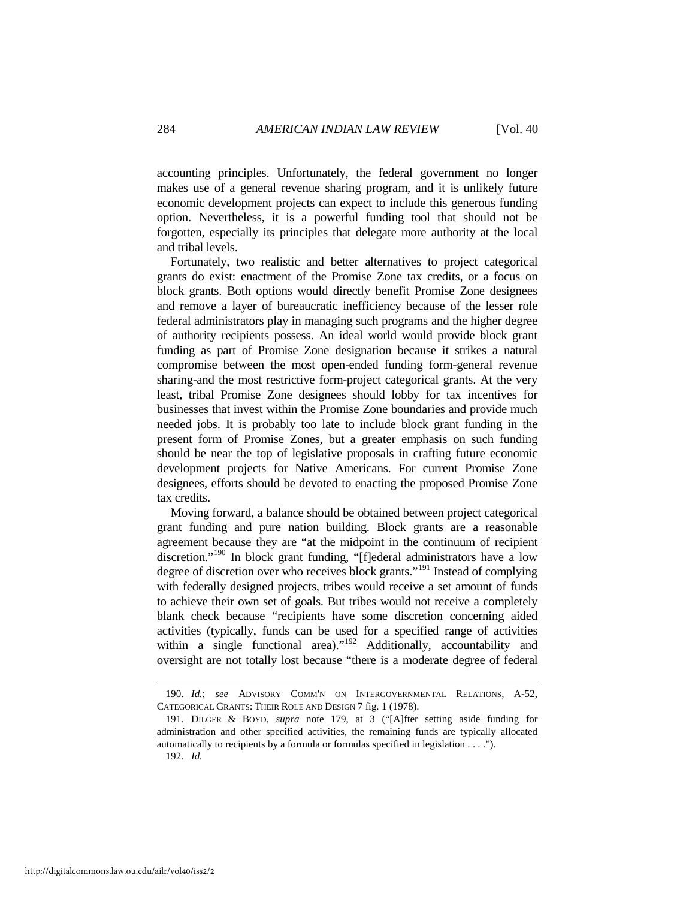accounting principles. Unfortunately, the federal government no longer makes use of a general revenue sharing program, and it is unlikely future economic development projects can expect to include this generous funding option. Nevertheless, it is a powerful funding tool that should not be forgotten, especially its principles that delegate more authority at the local and tribal levels.

Fortunately, two realistic and better alternatives to project categorical grants do exist: enactment of the Promise Zone tax credits, or a focus on block grants. Both options would directly benefit Promise Zone designees and remove a layer of bureaucratic inefficiency because of the lesser role federal administrators play in managing such programs and the higher degree of authority recipients possess. An ideal world would provide block grant funding as part of Promise Zone designation because it strikes a natural compromise between the most open-ended funding form-general revenue sharing-and the most restrictive form-project categorical grants. At the very least, tribal Promise Zone designees should lobby for tax incentives for businesses that invest within the Promise Zone boundaries and provide much needed jobs. It is probably too late to include block grant funding in the present form of Promise Zones, but a greater emphasis on such funding should be near the top of legislative proposals in crafting future economic development projects for Native Americans. For current Promise Zone designees, efforts should be devoted to enacting the proposed Promise Zone tax credits.

Moving forward, a balance should be obtained between project categorical grant funding and pure nation building. Block grants are a reasonable agreement because they are "at the midpoint in the continuum of recipient discretion."[190](#page-36-0) In block grant funding, "[f]ederal administrators have a low degree of discretion over who receives block grants."[191](#page-36-1) Instead of complying with federally designed projects, tribes would receive a set amount of funds to achieve their own set of goals. But tribes would not receive a completely blank check because "recipients have some discretion concerning aided activities (typically, funds can be used for a specified range of activities within a single functional area)."<sup>[192](#page-36-2)</sup> Additionally, accountability and oversight are not totally lost because "there is a moderate degree of federal

192. *Id.*

<span id="page-36-0"></span><sup>190.</sup> *Id.*; *see* ADVISORY COMM'N ON INTERGOVERNMENTAL RELATIONS, A-52, CATEGORICAL GRANTS: THEIR ROLE AND DESIGN 7 fig. 1 (1978).

<span id="page-36-2"></span><span id="page-36-1"></span><sup>191.</sup> DILGER & BOYD, *supra* note 179, at 3 ("[A]fter setting aside funding for administration and other specified activities, the remaining funds are typically allocated automatically to recipients by a formula or formulas specified in legislation . . . .").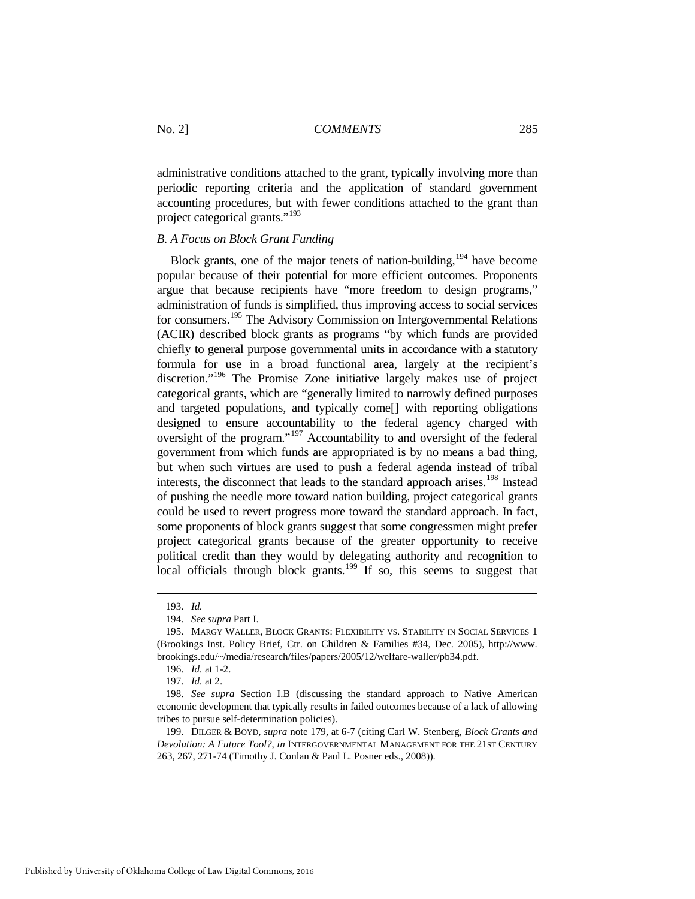administrative conditions attached to the grant, typically involving more than periodic reporting criteria and the application of standard government accounting procedures, but with fewer conditions attached to the grant than project categorical grants."[193](#page-37-0)

## *B. A Focus on Block Grant Funding*

Block grants, one of the major tenets of nation-building,  $194$  have become popular because of their potential for more efficient outcomes. Proponents argue that because recipients have "more freedom to design programs," administration of funds is simplified, thus improving access to social services for consumers.[195](#page-37-2) The Advisory Commission on Intergovernmental Relations (ACIR) described block grants as programs "by which funds are provided chiefly to general purpose governmental units in accordance with a statutory formula for use in a broad functional area, largely at the recipient's discretion."[196](#page-37-3) The Promise Zone initiative largely makes use of project categorical grants, which are "generally limited to narrowly defined purposes and targeted populations, and typically come[] with reporting obligations designed to ensure accountability to the federal agency charged with oversight of the program."[197](#page-37-4) Accountability to and oversight of the federal government from which funds are appropriated is by no means a bad thing, but when such virtues are used to push a federal agenda instead of tribal interests, the disconnect that leads to the standard approach arises.<sup>[198](#page-37-5)</sup> Instead of pushing the needle more toward nation building, project categorical grants could be used to revert progress more toward the standard approach. In fact, some proponents of block grants suggest that some congressmen might prefer project categorical grants because of the greater opportunity to receive political credit than they would by delegating authority and recognition to local officials through block grants.<sup>[199](#page-37-6)</sup> If so, this seems to suggest that

<sup>193.</sup> *Id.*

<sup>194.</sup> *See supra* Part I.

<span id="page-37-2"></span><span id="page-37-1"></span><span id="page-37-0"></span><sup>195.</sup> MARGY WALLER, BLOCK GRANTS: FLEXIBILITY VS. STABILITY IN SOCIAL SERVICES 1 (Brookings Inst. Policy Brief, Ctr. on Children & Families #34, Dec. 2005), http://www. brookings.edu/~/media/research/files/papers/2005/12/welfare-waller/pb34.pdf.

<sup>196.</sup> *Id.* at 1-2.

<sup>197.</sup> *Id.* at 2.

<span id="page-37-5"></span><span id="page-37-4"></span><span id="page-37-3"></span><sup>198.</sup> *See supra* Section I.B (discussing the standard approach to Native American economic development that typically results in failed outcomes because of a lack of allowing tribes to pursue self-determination policies).

<span id="page-37-6"></span><sup>199.</sup> DILGER & BOYD, *supra* note 179, at 6-7 (citing Carl W. Stenberg, *Block Grants and Devolution: A Future Tool?*, *in* INTERGOVERNMENTAL MANAGEMENT FOR THE 21ST CENTURY 263, 267, 271-74 (Timothy J. Conlan & Paul L. Posner eds., 2008)).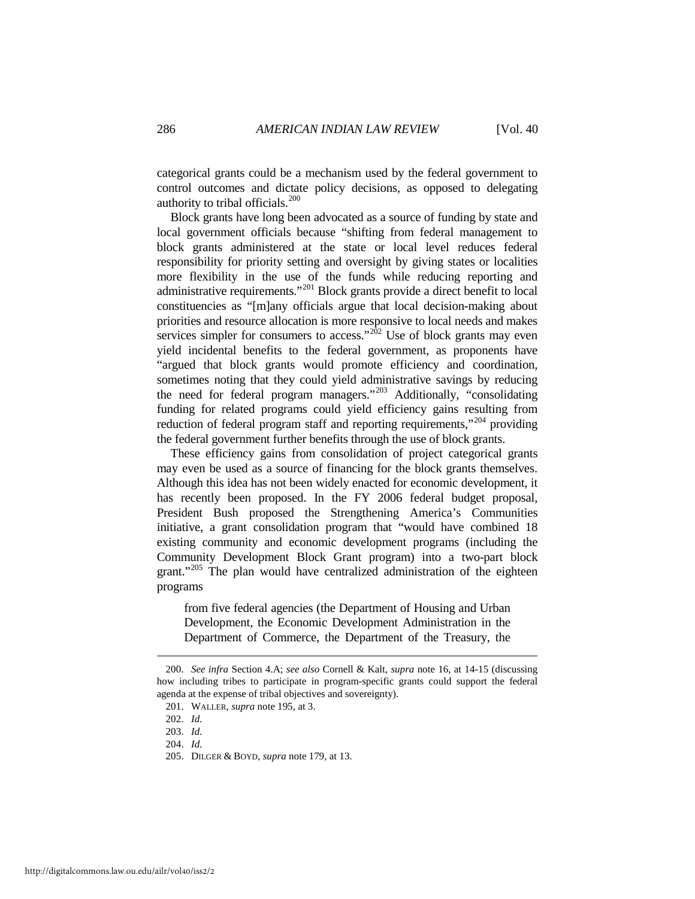categorical grants could be a mechanism used by the federal government to control outcomes and dictate policy decisions, as opposed to delegating authority to tribal officials.[200](#page-38-0) 

Block grants have long been advocated as a source of funding by state and local government officials because "shifting from federal management to block grants administered at the state or local level reduces federal responsibility for priority setting and oversight by giving states or localities more flexibility in the use of the funds while reducing reporting and administrative requirements."[201](#page-38-1) Block grants provide a direct benefit to local constituencies as "[m]any officials argue that local decision-making about priorities and resource allocation is more responsive to local needs and makes services simpler for consumers to access." $2\dot{0}$ <sup>2</sup> Use of block grants may even yield incidental benefits to the federal government, as proponents have "argued that block grants would promote efficiency and coordination, sometimes noting that they could yield administrative savings by reducing the need for federal program managers."[203](#page-38-3) Additionally, "consolidating funding for related programs could yield efficiency gains resulting from reduction of federal program staff and reporting requirements,"<sup>[204](#page-38-4)</sup> providing the federal government further benefits through the use of block grants.

These efficiency gains from consolidation of project categorical grants may even be used as a source of financing for the block grants themselves. Although this idea has not been widely enacted for economic development, it has recently been proposed. In the FY 2006 federal budget proposal, President Bush proposed the Strengthening America's Communities initiative, a grant consolidation program that "would have combined 18 existing community and economic development programs (including the Community Development Block Grant program) into a two-part block grant."<sup>[205](#page-38-5)</sup> The plan would have centralized administration of the eighteen programs

from five federal agencies (the Department of Housing and Urban Development, the Economic Development Administration in the Department of Commerce, the Department of the Treasury, the

<span id="page-38-2"></span><span id="page-38-1"></span><span id="page-38-0"></span><sup>200.</sup> *See infra* Section 4.A; *see also* Cornell & Kalt, *supra* note 16, at 14-15 (discussing how including tribes to participate in program-specific grants could support the federal agenda at the expense of tribal objectives and sovereignty).

<sup>201.</sup> WALLER, *supra* note 195, at 3.

<sup>202.</sup> *Id.*

<span id="page-38-3"></span><sup>203.</sup> *Id.*

<span id="page-38-4"></span><sup>204.</sup> *Id.*

<span id="page-38-5"></span><sup>205.</sup> DILGER & BOYD, *supra* note 179, at 13.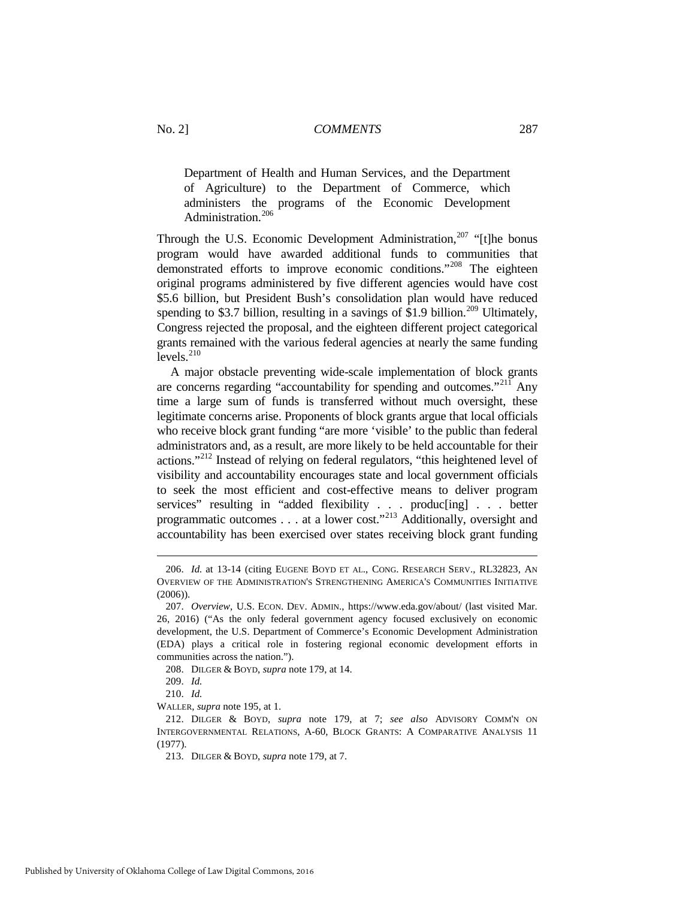Department of Health and Human Services, and the Department of Agriculture) to the Department of Commerce, which administers the programs of the Economic Development Administration.<sup>[206](#page-39-0)</sup>

Through the U.S. Economic Development Administration, $207$  "[t]he bonus program would have awarded additional funds to communities that demonstrated efforts to improve economic conditions."<sup>[208](#page-39-2)</sup> The eighteen original programs administered by five different agencies would have cost \$5.6 billion, but President Bush's consolidation plan would have reduced spending to \$3.7 billion, resulting in a savings of \$1.9 billion.<sup>[209](#page-39-3)</sup> Ultimately, Congress rejected the proposal, and the eighteen different project categorical grants remained with the various federal agencies at nearly the same funding  $levels$ <sup>[210](#page-39-4)</sup>

A major obstacle preventing wide-scale implementation of block grants are concerns regarding "accountability for spending and outcomes."[211](#page-39-5) Any time a large sum of funds is transferred without much oversight, these legitimate concerns arise. Proponents of block grants argue that local officials who receive block grant funding "are more 'visible' to the public than federal administrators and, as a result, are more likely to be held accountable for their actions."[212](#page-39-6) Instead of relying on federal regulators, "this heightened level of visibility and accountability encourages state and local government officials to seek the most efficient and cost-effective means to deliver program services" resulting in "added flexibility . . . produc[ing] . . . better programmatic outcomes . . . at a lower cost."[213](#page-39-7) Additionally, oversight and accountability has been exercised over states receiving block grant funding

<span id="page-39-0"></span><sup>206.</sup> *Id.* at 13-14 (citing EUGENE BOYD ET AL., CONG. RESEARCH SERV., RL32823, AN OVERVIEW OF THE ADMINISTRATION'S STRENGTHENING AMERICA'S COMMUNITIES INITIATIVE (2006)).

<span id="page-39-1"></span><sup>207.</sup> *Overview*, U.S. ECON. DEV. ADMIN., https://www.eda.gov/about/ (last visited Mar. 26, 2016) ("As the only federal government agency focused exclusively on economic development, the U.S. Department of Commerce's Economic Development Administration (EDA) plays a critical role in fostering regional economic development efforts in communities across the nation.").

<sup>208.</sup> DILGER & BOYD, *supra* note 179, at 14.

<sup>209.</sup> *Id.*

<sup>210.</sup> *Id.*

<span id="page-39-5"></span><span id="page-39-4"></span><span id="page-39-3"></span><span id="page-39-2"></span>WALLER, *supra* note 195, at 1.

<span id="page-39-7"></span><span id="page-39-6"></span><sup>212.</sup> DILGER & BOYD, *supra* note 179, at 7; *see also* ADVISORY COMM'N ON INTERGOVERNMENTAL RELATIONS, A-60, BLOCK GRANTS: A COMPARATIVE ANALYSIS 11 (1977).

<sup>213.</sup> DILGER & BOYD, *supra* note 179, at 7.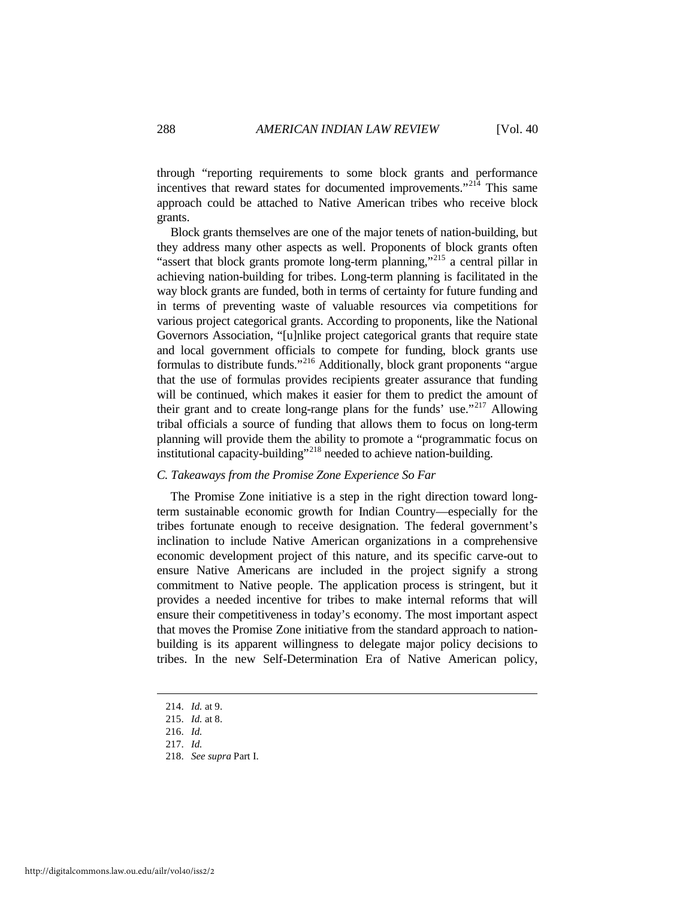through "reporting requirements to some block grants and performance incentives that reward states for documented improvements."<sup>[214](#page-40-0)</sup> This same approach could be attached to Native American tribes who receive block grants.

Block grants themselves are one of the major tenets of nation-building, but they address many other aspects as well. Proponents of block grants often "assert that block grants promote long-term planning,"<sup>[215](#page-40-1)</sup> a central pillar in achieving nation-building for tribes. Long-term planning is facilitated in the way block grants are funded, both in terms of certainty for future funding and in terms of preventing waste of valuable resources via competitions for various project categorical grants. According to proponents, like the National Governors Association, "[u]nlike project categorical grants that require state and local government officials to compete for funding, block grants use formulas to distribute funds."[216](#page-40-2) Additionally, block grant proponents "argue that the use of formulas provides recipients greater assurance that funding will be continued, which makes it easier for them to predict the amount of their grant and to create long-range plans for the funds' use."<sup>[217](#page-40-3)</sup> Allowing tribal officials a source of funding that allows them to focus on long-term planning will provide them the ability to promote a "programmatic focus on institutional capacity-building"<sup>[218](#page-40-4)</sup> needed to achieve nation-building.

## *C. Takeaways from the Promise Zone Experience So Far*

The Promise Zone initiative is a step in the right direction toward longterm sustainable economic growth for Indian Country—especially for the tribes fortunate enough to receive designation. The federal government's inclination to include Native American organizations in a comprehensive economic development project of this nature, and its specific carve-out to ensure Native Americans are included in the project signify a strong commitment to Native people. The application process is stringent, but it provides a needed incentive for tribes to make internal reforms that will ensure their competitiveness in today's economy. The most important aspect that moves the Promise Zone initiative from the standard approach to nationbuilding is its apparent willingness to delegate major policy decisions to tribes. In the new Self-Determination Era of Native American policy,

<span id="page-40-0"></span><sup>214.</sup> *Id.* at 9.

<span id="page-40-1"></span><sup>215.</sup> *Id.* at 8.

<span id="page-40-2"></span><sup>216.</sup> *Id.*

<span id="page-40-3"></span><sup>217.</sup> *Id.*

<span id="page-40-4"></span><sup>218.</sup> *See supra* Part I.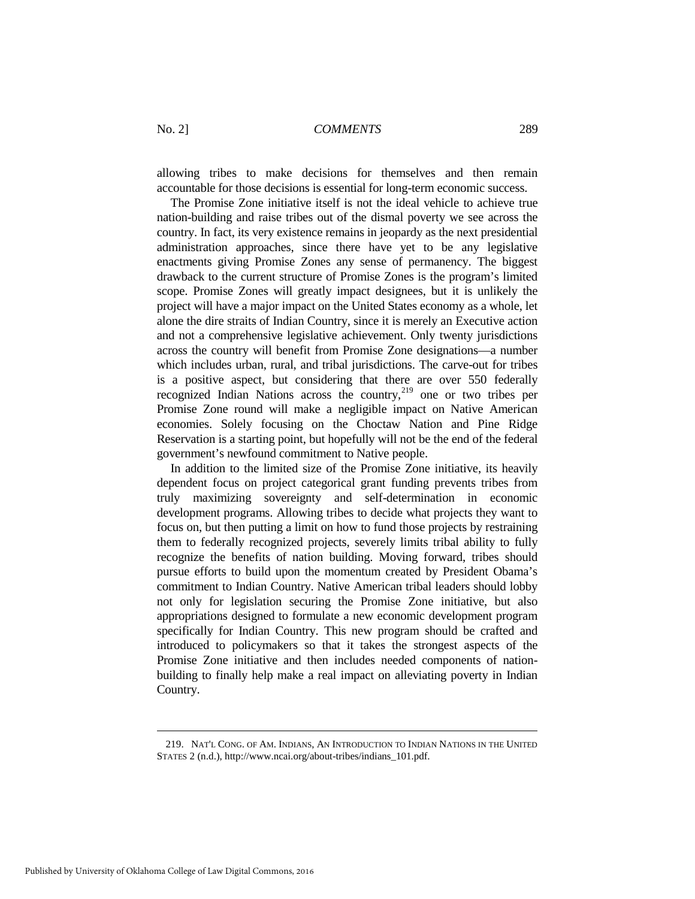allowing tribes to make decisions for themselves and then remain accountable for those decisions is essential for long-term economic success.

The Promise Zone initiative itself is not the ideal vehicle to achieve true nation-building and raise tribes out of the dismal poverty we see across the country. In fact, its very existence remains in jeopardy as the next presidential administration approaches, since there have yet to be any legislative enactments giving Promise Zones any sense of permanency. The biggest drawback to the current structure of Promise Zones is the program's limited scope. Promise Zones will greatly impact designees, but it is unlikely the project will have a major impact on the United States economy as a whole, let alone the dire straits of Indian Country, since it is merely an Executive action and not a comprehensive legislative achievement. Only twenty jurisdictions across the country will benefit from Promise Zone designations—a number which includes urban, rural, and tribal jurisdictions. The carve-out for tribes is a positive aspect, but considering that there are over 550 federally recognized Indian Nations across the country, $219$  one or two tribes per Promise Zone round will make a negligible impact on Native American economies. Solely focusing on the Choctaw Nation and Pine Ridge Reservation is a starting point, but hopefully will not be the end of the federal government's newfound commitment to Native people.

In addition to the limited size of the Promise Zone initiative, its heavily dependent focus on project categorical grant funding prevents tribes from truly maximizing sovereignty and self-determination in economic development programs. Allowing tribes to decide what projects they want to focus on, but then putting a limit on how to fund those projects by restraining them to federally recognized projects, severely limits tribal ability to fully recognize the benefits of nation building. Moving forward, tribes should pursue efforts to build upon the momentum created by President Obama's commitment to Indian Country. Native American tribal leaders should lobby not only for legislation securing the Promise Zone initiative, but also appropriations designed to formulate a new economic development program specifically for Indian Country. This new program should be crafted and introduced to policymakers so that it takes the strongest aspects of the Promise Zone initiative and then includes needed components of nationbuilding to finally help make a real impact on alleviating poverty in Indian Country.

<span id="page-41-0"></span><sup>219.</sup> NAT'L CONG. OF AM. INDIANS, AN INTRODUCTION TO INDIAN NATIONS IN THE UNITED STATES 2 (n.d.), http://www.ncai.org/about-tribes/indians\_101.pdf.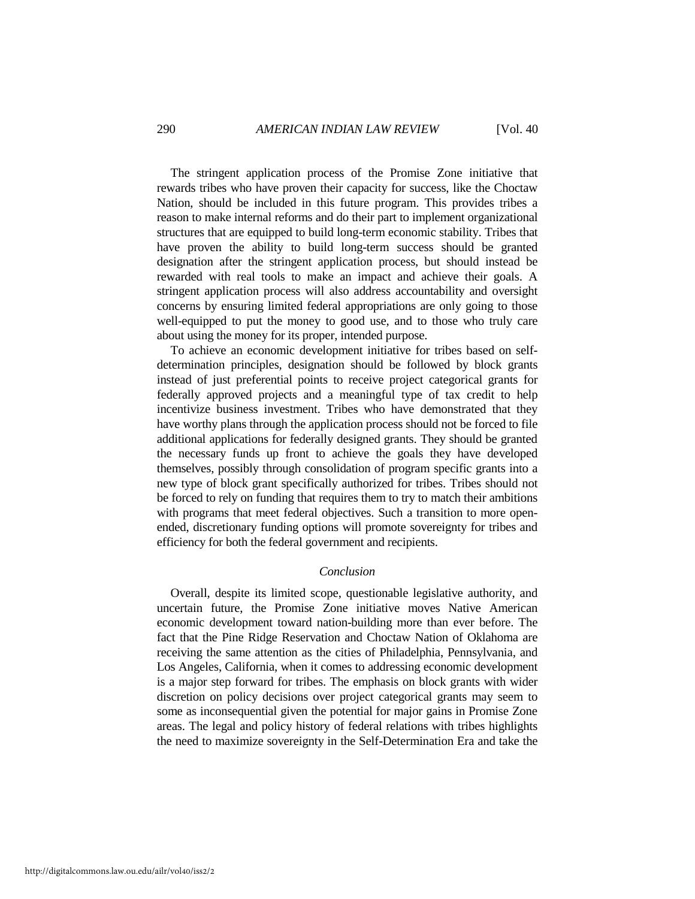The stringent application process of the Promise Zone initiative that rewards tribes who have proven their capacity for success, like the Choctaw Nation, should be included in this future program. This provides tribes a reason to make internal reforms and do their part to implement organizational structures that are equipped to build long-term economic stability. Tribes that have proven the ability to build long-term success should be granted designation after the stringent application process, but should instead be rewarded with real tools to make an impact and achieve their goals. A stringent application process will also address accountability and oversight concerns by ensuring limited federal appropriations are only going to those well-equipped to put the money to good use, and to those who truly care about using the money for its proper, intended purpose.

To achieve an economic development initiative for tribes based on selfdetermination principles, designation should be followed by block grants instead of just preferential points to receive project categorical grants for federally approved projects and a meaningful type of tax credit to help incentivize business investment. Tribes who have demonstrated that they have worthy plans through the application process should not be forced to file additional applications for federally designed grants. They should be granted the necessary funds up front to achieve the goals they have developed themselves, possibly through consolidation of program specific grants into a new type of block grant specifically authorized for tribes. Tribes should not be forced to rely on funding that requires them to try to match their ambitions with programs that meet federal objectives. Such a transition to more openended, discretionary funding options will promote sovereignty for tribes and efficiency for both the federal government and recipients.

## *Conclusion*

Overall, despite its limited scope, questionable legislative authority, and uncertain future, the Promise Zone initiative moves Native American economic development toward nation-building more than ever before. The fact that the Pine Ridge Reservation and Choctaw Nation of Oklahoma are receiving the same attention as the cities of Philadelphia, Pennsylvania, and Los Angeles, California, when it comes to addressing economic development is a major step forward for tribes. The emphasis on block grants with wider discretion on policy decisions over project categorical grants may seem to some as inconsequential given the potential for major gains in Promise Zone areas. The legal and policy history of federal relations with tribes highlights the need to maximize sovereignty in the Self-Determination Era and take the